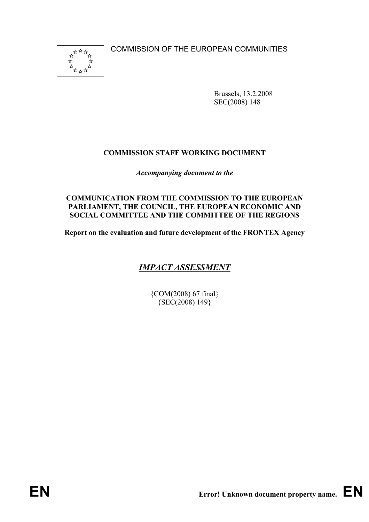COMMISSION OF THE EUROPEAN COMMUNITIES



Brussels, 13.2.2008 SEC(2008) 148

# **COMMISSION STAFF WORKING DOCUMENT**

*Accompanying document to the* 

### **COMMUNICATION FROM THE COMMISSION TO THE EUROPEAN PARLIAMENT, THE COUNCIL, THE EUROPEAN ECONOMIC AND SOCIAL COMMITTEE AND THE COMMITTEE OF THE REGIONS**

**Report on the evaluation and future development of the FRONTEX Agency** 

# *IMPACT ASSESSMENT*

{COM(2008) 67 final} {SEC(2008) 149}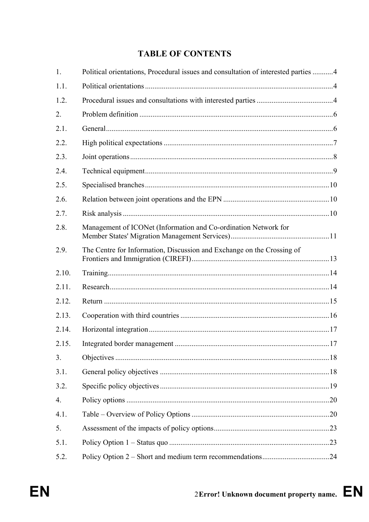# **TABLE OF CONTENTS**

| 1.    | Political orientations, Procedural issues and consultation of interested parties 4 |  |
|-------|------------------------------------------------------------------------------------|--|
| 1.1.  |                                                                                    |  |
| 1.2.  |                                                                                    |  |
| 2.    |                                                                                    |  |
| 2.1.  |                                                                                    |  |
| 2.2.  |                                                                                    |  |
| 2.3.  |                                                                                    |  |
| 2.4.  |                                                                                    |  |
| 2.5.  |                                                                                    |  |
| 2.6.  |                                                                                    |  |
| 2.7.  |                                                                                    |  |
| 2.8.  | Management of ICONet (Information and Co-ordination Network for                    |  |
| 2.9.  | The Centre for Information, Discussion and Exchange on the Crossing of             |  |
| 2.10. |                                                                                    |  |
| 2.11. |                                                                                    |  |
| 2.12. |                                                                                    |  |
| 2.13. |                                                                                    |  |
| 2.14. |                                                                                    |  |
| 2.15. |                                                                                    |  |
| 3.    |                                                                                    |  |
| 3.1.  |                                                                                    |  |
| 3.2.  |                                                                                    |  |
| 4.    |                                                                                    |  |
| 4.1.  |                                                                                    |  |
| 5.    |                                                                                    |  |
| 5.1.  |                                                                                    |  |
| 5.2.  |                                                                                    |  |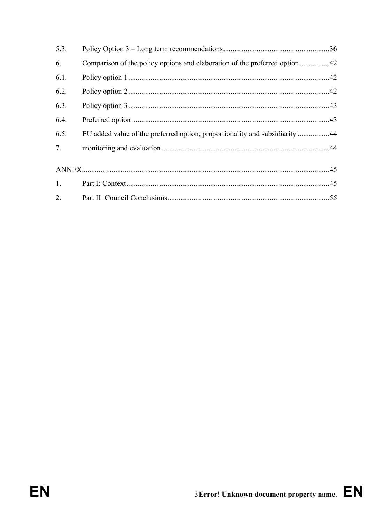| 5.3. |                                                                             |  |
|------|-----------------------------------------------------------------------------|--|
| 6.   |                                                                             |  |
| 6.1. |                                                                             |  |
| 6.2. |                                                                             |  |
| 6.3. |                                                                             |  |
| 6.4. |                                                                             |  |
| 6.5. | EU added value of the preferred option, proportionality and subsidiarity 44 |  |
| 7.   |                                                                             |  |
|      |                                                                             |  |
| 1.   |                                                                             |  |
| 2.   |                                                                             |  |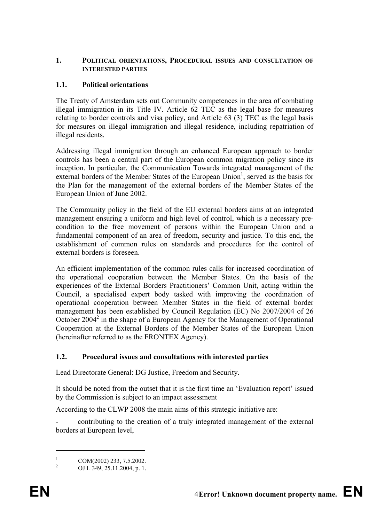### **1. POLITICAL ORIENTATIONS, PROCEDURAL ISSUES AND CONSULTATION OF INTERESTED PARTIES**

# **1.1. Political orientations**

The Treaty of Amsterdam sets out Community competences in the area of combating illegal immigration in its Title IV. Article 62 TEC as the legal base for measures relating to border controls and visa policy, and Article 63 (3) TEC as the legal basis for measures on illegal immigration and illegal residence, including repatriation of illegal residents.

Addressing illegal immigration through an enhanced European approach to border controls has been a central part of the European common migration policy since its inception. In particular, the Communication Towards integrated management of the external borders of the Member States of the European Union<sup>1</sup>, served as the basis for the Plan for the management of the external borders of the Member States of the European Union of June 2002.

The Community policy in the field of the EU external borders aims at an integrated management ensuring a uniform and high level of control, which is a necessary precondition to the free movement of persons within the European Union and a fundamental component of an area of freedom, security and justice. To this end, the establishment of common rules on standards and procedures for the control of external borders is foreseen.

An efficient implementation of the common rules calls for increased coordination of the operational cooperation between the Member States. On the basis of the experiences of the External Borders Practitioners' Common Unit, acting within the Council, a specialised expert body tasked with improving the coordination of operational cooperation between Member States in the field of external border management has been established by Council Regulation (EC) No 2007/2004 of 26 October 2004<sup>2</sup> in the shape of a European Agency for the Management of Operational Cooperation at the External Borders of the Member States of the European Union (hereinafter referred to as the FRONTEX Agency).

# **1.2. Procedural issues and consultations with interested parties**

Lead Directorate General: DG Justice, Freedom and Security.

It should be noted from the outset that it is the first time an 'Evaluation report' issued by the Commission is subject to an impact assessment

According to the CLWP 2008 the main aims of this strategic initiative are:

- contributing to the creation of a truly integrated management of the external borders at European level,

 $\overline{a}$ 

<sup>1</sup> COM(2002) 233, 7.5.2002.

<sup>2</sup> OJ L 349, 25.11.2004, p. 1.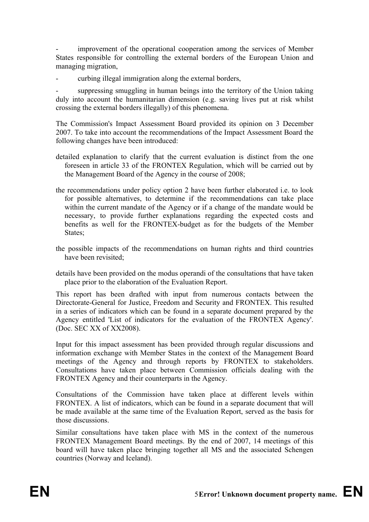improvement of the operational cooperation among the services of Member States responsible for controlling the external borders of the European Union and managing migration,

curbing illegal immigration along the external borders,

suppressing smuggling in human beings into the territory of the Union taking duly into account the humanitarian dimension (e.g. saving lives put at risk whilst crossing the external borders illegally) of this phenomena.

The Commission's Impact Assessment Board provided its opinion on 3 December 2007. To take into account the recommendations of the Impact Assessment Board the following changes have been introduced:

- detailed explanation to clarify that the current evaluation is distinct from the one foreseen in article 33 of the FRONTEX Regulation, which will be carried out by the Management Board of the Agency in the course of 2008;
- the recommendations under policy option 2 have been further elaborated i.e. to look for possible alternatives, to determine if the recommendations can take place within the current mandate of the Agency or if a change of the mandate would be necessary, to provide further explanations regarding the expected costs and benefits as well for the FRONTEX-budget as for the budgets of the Member States;
- the possible impacts of the recommendations on human rights and third countries have been revisited;
- details have been provided on the modus operandi of the consultations that have taken place prior to the elaboration of the Evaluation Report.

This report has been drafted with input from numerous contacts between the Directorate-General for Justice, Freedom and Security and FRONTEX. This resulted in a series of indicators which can be found in a separate document prepared by the Agency entitled 'List of indicators for the evaluation of the FRONTEX Agency'. (Doc. SEC XX of XX2008).

Input for this impact assessment has been provided through regular discussions and information exchange with Member States in the context of the Management Board meetings of the Agency and through reports by FRONTEX to stakeholders. Consultations have taken place between Commission officials dealing with the FRONTEX Agency and their counterparts in the Agency.

Consultations of the Commission have taken place at different levels within FRONTEX. A list of indicators, which can be found in a separate document that will be made available at the same time of the Evaluation Report, served as the basis for those discussions.

Similar consultations have taken place with MS in the context of the numerous FRONTEX Management Board meetings. By the end of 2007, 14 meetings of this board will have taken place bringing together all MS and the associated Schengen countries (Norway and Iceland).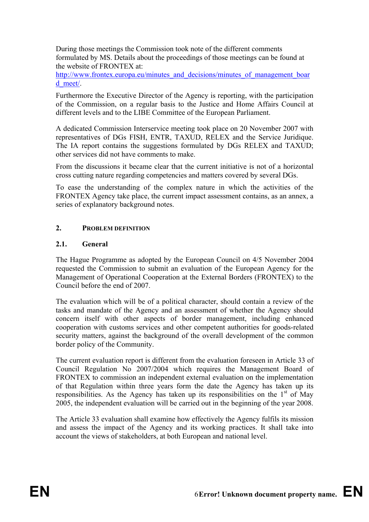During those meetings the Commission took note of the different comments formulated by MS. Details about the proceedings of those meetings can be found at the website of FRONTEX at:

http://www.frontex.europa.eu/minutes\_and\_decisions/minutes\_of\_management\_boar d\_meet/.

Furthermore the Executive Director of the Agency is reporting, with the participation of the Commission, on a regular basis to the Justice and Home Affairs Council at different levels and to the LIBE Committee of the European Parliament.

A dedicated Commission Interservice meeting took place on 20 November 2007 with representatives of DGs FISH, ENTR, TAXUD, RELEX and the Service Juridique. The IA report contains the suggestions formulated by DGs RELEX and TAXUD; other services did not have comments to make.

From the discussions it became clear that the current initiative is not of a horizontal cross cutting nature regarding competencies and matters covered by several DGs.

To ease the understanding of the complex nature in which the activities of the FRONTEX Agency take place, the current impact assessment contains, as an annex, a series of explanatory background notes.

### **2. PROBLEM DEFINITION**

#### **2.1. General**

The Hague Programme as adopted by the European Council on 4/5 November 2004 requested the Commission to submit an evaluation of the European Agency for the Management of Operational Cooperation at the External Borders (FRONTEX) to the Council before the end of 2007.

The evaluation which will be of a political character, should contain a review of the tasks and mandate of the Agency and an assessment of whether the Agency should concern itself with other aspects of border management, including enhanced cooperation with customs services and other competent authorities for goods-related security matters, against the background of the overall development of the common border policy of the Community.

The current evaluation report is different from the evaluation foreseen in Article 33 of Council Regulation No 2007/2004 which requires the Management Board of FRONTEX to commission an independent external evaluation on the implementation of that Regulation within three years form the date the Agency has taken up its responsibilities. As the Agency has taken up its responsibilities on the  $1<sup>st</sup>$  of May 2005, the independent evaluation will be carried out in the beginning of the year 2008.

The Article 33 evaluation shall examine how effectively the Agency fulfils its mission and assess the impact of the Agency and its working practices. It shall take into account the views of stakeholders, at both European and national level.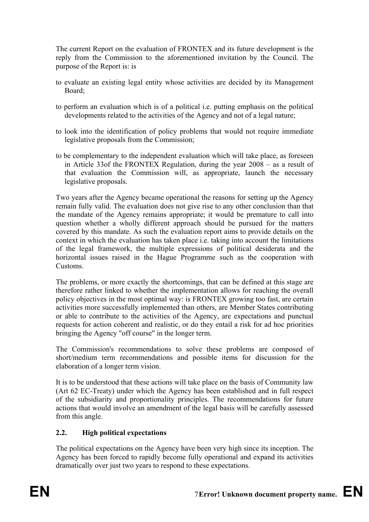The current Report on the evaluation of FRONTEX and its future development is the reply from the Commission to the aforementioned invitation by the Council. The purpose of the Report is: is

- to evaluate an existing legal entity whose activities are decided by its Management Board;
- to perform an evaluation which is of a political i.e. putting emphasis on the political developments related to the activities of the Agency and not of a legal nature;
- to look into the identification of policy problems that would not require immediate legislative proposals from the Commission;
- to be complementary to the independent evaluation which will take place, as foreseen in Article 33of the FRONTEX Regulation, during the year 2008 – as a result of that evaluation the Commission will, as appropriate, launch the necessary legislative proposals.

Two years after the Agency became operational the reasons for setting up the Agency remain fully valid. The evaluation does not give rise to any other conclusion than that the mandate of the Agency remains appropriate; it would be premature to call into question whether a wholly different approach should be pursued for the matters covered by this mandate. As such the evaluation report aims to provide details on the context in which the evaluation has taken place i.e. taking into account the limitations of the legal framework, the multiple expressions of political desiderata and the horizontal issues raised in the Hague Programme such as the cooperation with Customs.

The problems, or more exactly the shortcomings, that can be defined at this stage are therefore rather linked to whether the implementation allows for reaching the overall policy objectives in the most optimal way: is FRONTEX growing too fast, are certain activities more successfully implemented than others, are Member States contributing or able to contribute to the activities of the Agency, are expectations and punctual requests for action coherent and realistic, or do they entail a risk for ad hoc priorities bringing the Agency "off course" in the longer term.

The Commission's recommendations to solve these problems are composed of short/medium term recommendations and possible items for discussion for the elaboration of a longer term vision.

It is to be understood that these actions will take place on the basis of Community law (Art 62 EC-Treaty) under which the Agency has been established and in full respect of the subsidiarity and proportionality principles. The recommendations for future actions that would involve an amendment of the legal basis will be carefully assessed from this angle.

### **2.2. High political expectations**

The political expectations on the Agency have been very high since its inception. The Agency has been forced to rapidly become fully operational and expand its activities dramatically over just two years to respond to these expectations.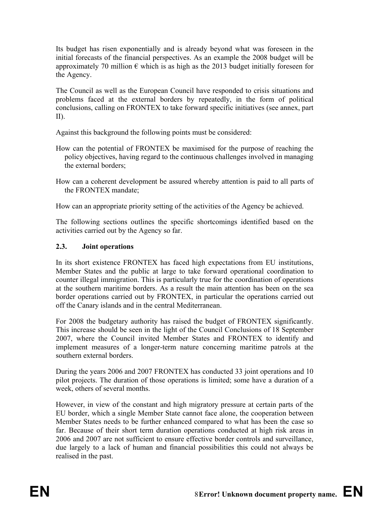Its budget has risen exponentially and is already beyond what was foreseen in the initial forecasts of the financial perspectives. As an example the 2008 budget will be approximately 70 million  $\epsilon$  which is as high as the 2013 budget initially foreseen for the Agency.

The Council as well as the European Council have responded to crisis situations and problems faced at the external borders by repeatedly, in the form of political conclusions, calling on FRONTEX to take forward specific initiatives (see annex, part II).

Against this background the following points must be considered:

- How can the potential of FRONTEX be maximised for the purpose of reaching the policy objectives, having regard to the continuous challenges involved in managing the external borders;
- How can a coherent development be assured whereby attention is paid to all parts of the FRONTEX mandate;

How can an appropriate priority setting of the activities of the Agency be achieved.

The following sections outlines the specific shortcomings identified based on the activities carried out by the Agency so far.

### **2.3. Joint operations**

In its short existence FRONTEX has faced high expectations from EU institutions, Member States and the public at large to take forward operational coordination to counter illegal immigration. This is particularly true for the coordination of operations at the southern maritime borders. As a result the main attention has been on the sea border operations carried out by FRONTEX, in particular the operations carried out off the Canary islands and in the central Mediterranean.

For 2008 the budgetary authority has raised the budget of FRONTEX significantly. This increase should be seen in the light of the Council Conclusions of 18 September 2007, where the Council invited Member States and FRONTEX to identify and implement measures of a longer-term nature concerning maritime patrols at the southern external borders.

During the years 2006 and 2007 FRONTEX has conducted 33 joint operations and 10 pilot projects. The duration of those operations is limited; some have a duration of a week, others of several months.

However, in view of the constant and high migratory pressure at certain parts of the EU border, which a single Member State cannot face alone, the cooperation between Member States needs to be further enhanced compared to what has been the case so far. Because of their short term duration operations conducted at high risk areas in 2006 and 2007 are not sufficient to ensure effective border controls and surveillance, due largely to a lack of human and financial possibilities this could not always be realised in the past.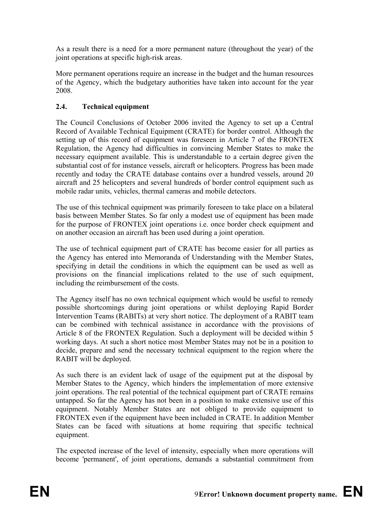As a result there is a need for a more permanent nature (throughout the year) of the joint operations at specific high-risk areas.

More permanent operations require an increase in the budget and the human resources of the Agency, which the budgetary authorities have taken into account for the year 2008.

# **2.4. Technical equipment**

The Council Conclusions of October 2006 invited the Agency to set up a Central Record of Available Technical Equipment (CRATE) for border control. Although the setting up of this record of equipment was foreseen in Article 7 of the FRONTEX Regulation, the Agency had difficulties in convincing Member States to make the necessary equipment available. This is understandable to a certain degree given the substantial cost of for instance vessels, aircraft or helicopters. Progress has been made recently and today the CRATE database contains over a hundred vessels, around 20 aircraft and 25 helicopters and several hundreds of border control equipment such as mobile radar units, vehicles, thermal cameras and mobile detectors.

The use of this technical equipment was primarily foreseen to take place on a bilateral basis between Member States. So far only a modest use of equipment has been made for the purpose of FRONTEX joint operations i.e. once border check equipment and on another occasion an aircraft has been used during a joint operation.

The use of technical equipment part of CRATE has become easier for all parties as the Agency has entered into Memoranda of Understanding with the Member States, specifying in detail the conditions in which the equipment can be used as well as provisions on the financial implications related to the use of such equipment, including the reimbursement of the costs.

The Agency itself has no own technical equipment which would be useful to remedy possible shortcomings during joint operations or whilst deploying Rapid Border Intervention Teams (RABITs) at very short notice. The deployment of a RABIT team can be combined with technical assistance in accordance with the provisions of Article 8 of the FRONTEX Regulation. Such a deployment will be decided within 5 working days. At such a short notice most Member States may not be in a position to decide, prepare and send the necessary technical equipment to the region where the RABIT will be deployed.

As such there is an evident lack of usage of the equipment put at the disposal by Member States to the Agency, which hinders the implementation of more extensive joint operations. The real potential of the technical equipment part of CRATE remains untapped. So far the Agency has not been in a position to make extensive use of this equipment. Notably Member States are not obliged to provide equipment to FRONTEX even if the equipment have been included in CRATE. In addition Member States can be faced with situations at home requiring that specific technical equipment.

The expected increase of the level of intensity, especially when more operations will become 'permanent', of joint operations, demands a substantial commitment from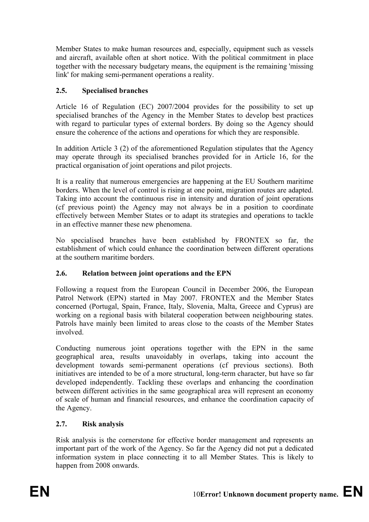Member States to make human resources and, especially, equipment such as vessels and aircraft, available often at short notice. With the political commitment in place together with the necessary budgetary means, the equipment is the remaining 'missing link' for making semi-permanent operations a reality.

# **2.5. Specialised branches**

Article 16 of Regulation (EC) 2007/2004 provides for the possibility to set up specialised branches of the Agency in the Member States to develop best practices with regard to particular types of external borders. By doing so the Agency should ensure the coherence of the actions and operations for which they are responsible.

In addition Article 3 (2) of the aforementioned Regulation stipulates that the Agency may operate through its specialised branches provided for in Article 16, for the practical organisation of joint operations and pilot projects.

It is a reality that numerous emergencies are happening at the EU Southern maritime borders. When the level of control is rising at one point, migration routes are adapted. Taking into account the continuous rise in intensity and duration of joint operations (cf previous point) the Agency may not always be in a position to coordinate effectively between Member States or to adapt its strategies and operations to tackle in an effective manner these new phenomena.

No specialised branches have been established by FRONTEX so far, the establishment of which could enhance the coordination between different operations at the southern maritime borders.

### **2.6. Relation between joint operations and the EPN**

Following a request from the European Council in December 2006, the European Patrol Network (EPN) started in May 2007. FRONTEX and the Member States concerned (Portugal, Spain, France, Italy, Slovenia, Malta, Greece and Cyprus) are working on a regional basis with bilateral cooperation between neighbouring states. Patrols have mainly been limited to areas close to the coasts of the Member States involved.

Conducting numerous joint operations together with the EPN in the same geographical area, results unavoidably in overlaps, taking into account the development towards semi-permanent operations (cf previous sections). Both initiatives are intended to be of a more structural, long-term character, but have so far developed independently. Tackling these overlaps and enhancing the coordination between different activities in the same geographical area will represent an economy of scale of human and financial resources, and enhance the coordination capacity of the Agency.

### **2.7. Risk analysis**

Risk analysis is the cornerstone for effective border management and represents an important part of the work of the Agency. So far the Agency did not put a dedicated information system in place connecting it to all Member States. This is likely to happen from 2008 onwards.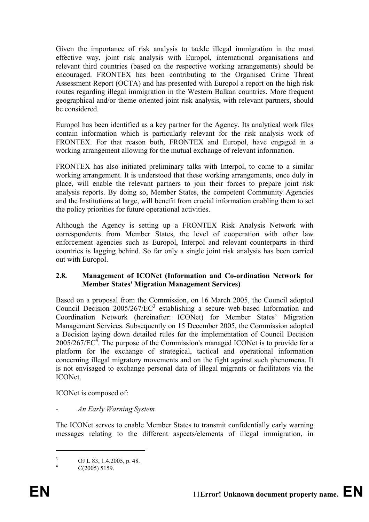Given the importance of risk analysis to tackle illegal immigration in the most effective way, joint risk analysis with Europol, international organisations and relevant third countries (based on the respective working arrangements) should be encouraged. FRONTEX has been contributing to the Organised Crime Threat Assessment Report (OCTA) and has presented with Europol a report on the high risk routes regarding illegal immigration in the Western Balkan countries. More frequent geographical and/or theme oriented joint risk analysis, with relevant partners, should be considered.

Europol has been identified as a key partner for the Agency. Its analytical work files contain information which is particularly relevant for the risk analysis work of FRONTEX. For that reason both, FRONTEX and Europol, have engaged in a working arrangement allowing for the mutual exchange of relevant information.

FRONTEX has also initiated preliminary talks with Interpol, to come to a similar working arrangement. It is understood that these working arrangements, once duly in place, will enable the relevant partners to join their forces to prepare joint risk analysis reports. By doing so, Member States, the competent Community Agencies and the Institutions at large, will benefit from crucial information enabling them to set the policy priorities for future operational activities.

Although the Agency is setting up a FRONTEX Risk Analysis Network with correspondents from Member States, the level of cooperation with other law enforcement agencies such as Europol, Interpol and relevant counterparts in third countries is lagging behind. So far only a single joint risk analysis has been carried out with Europol.

### **2.8. Management of ICONet (Information and Co-ordination Network for Member States' Migration Management Services)**

Based on a proposal from the Commission, on 16 March 2005, the Council adopted Council Decision  $2005/267/EC^3$  establishing a secure web-based Information and Coordination Network (hereinafter: ICONet) for Member States' Migration Management Services. Subsequently on 15 December 2005, the Commission adopted a Decision laying down detailed rules for the implementation of Council Decision  $2005/267/EC<sup>4</sup>$ . The purpose of the Commission's managed ICONet is to provide for a platform for the exchange of strategical, tactical and operational information concerning illegal migratory movements and on the fight against such phenomena. It is not envisaged to exchange personal data of illegal migrants or facilitators via the ICONet.

ICONet is composed of:

### *- An Early Warning System*

The ICONet serves to enable Member States to transmit confidentially early warning messages relating to the different aspects/elements of illegal immigration, in

 $\overline{a}$ 

<sup>3</sup> OJ L 83, 1.4.2005, p. 48.

<sup>4</sup> C(2005) 5159.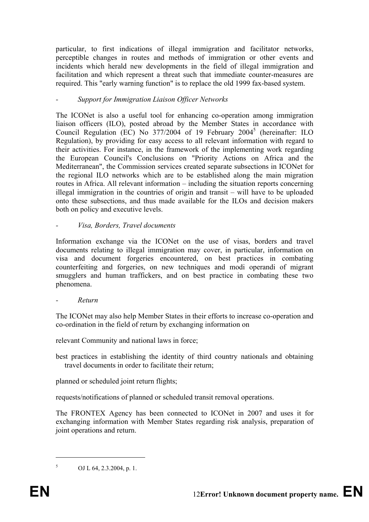particular, to first indications of illegal immigration and facilitator networks, perceptible changes in routes and methods of immigration or other events and incidents which herald new developments in the field of illegal immigration and facilitation and which represent a threat such that immediate counter-measures are required. This "early warning function" is to replace the old 1999 fax-based system.

# *- Support for Immigration Liaison Officer Networks*

The ICONet is also a useful tool for enhancing co-operation among immigration liaison officers (ILO), posted abroad by the Member States in accordance with Council Regulation (EC) No 377/2004 of 19 February 2004<sup>5</sup> (hereinafter: ILO Regulation), by providing for easy access to all relevant information with regard to their activities. For instance, in the framework of the implementing work regarding the European Council's Conclusions on "Priority Actions on Africa and the Mediterranean", the Commission services created separate subsections in ICONet for the regional ILO networks which are to be established along the main migration routes in Africa. All relevant information – including the situation reports concerning illegal immigration in the countries of origin and transit – will have to be uploaded onto these subsections, and thus made available for the ILOs and decision makers both on policy and executive levels.

### *- Visa, Borders, Travel documents*

Information exchange via the ICONet on the use of visas, borders and travel documents relating to illegal immigration may cover, in particular, information on visa and document forgeries encountered, on best practices in combating counterfeiting and forgeries, on new techniques and modi operandi of migrant smugglers and human traffickers, and on best practice in combating these two phenomena.

### *- Return*

The ICONet may also help Member States in their efforts to increase co-operation and co-ordination in the field of return by exchanging information on

relevant Community and national laws in force;

best practices in establishing the identity of third country nationals and obtaining travel documents in order to facilitate their return;

planned or scheduled joint return flights;

requests/notifications of planned or scheduled transit removal operations.

The FRONTEX Agency has been connected to ICONet in 2007 and uses it for exchanging information with Member States regarding risk analysis, preparation of joint operations and return.

 $\overline{a}$ 

<sup>5</sup> OJ L 64, 2.3.2004, p. 1.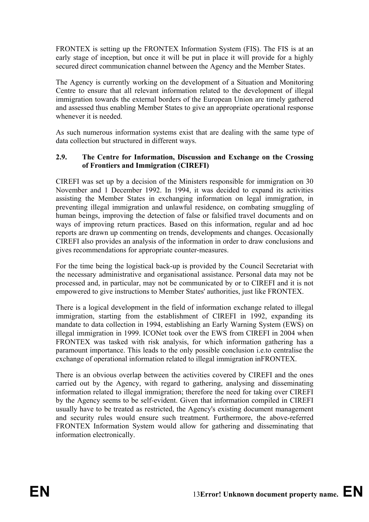FRONTEX is setting up the FRONTEX Information System (FIS). The FIS is at an early stage of inception, but once it will be put in place it will provide for a highly secured direct communication channel between the Agency and the Member States.

The Agency is currently working on the development of a Situation and Monitoring Centre to ensure that all relevant information related to the development of illegal immigration towards the external borders of the European Union are timely gathered and assessed thus enabling Member States to give an appropriate operational response whenever it is needed.

As such numerous information systems exist that are dealing with the same type of data collection but structured in different ways.

### **2.9. The Centre for Information, Discussion and Exchange on the Crossing of Frontiers and Immigration (CIREFI)**

CIREFI was set up by a decision of the Ministers responsible for immigration on 30 November and 1 December 1992. In 1994, it was decided to expand its activities assisting the Member States in exchanging information on legal immigration, in preventing illegal immigration and unlawful residence, on combating smuggling of human beings, improving the detection of false or falsified travel documents and on ways of improving return practices. Based on this information, regular and ad hoc reports are drawn up commenting on trends, developments and changes. Occasionally CIREFI also provides an analysis of the information in order to draw conclusions and gives recommendations for appropriate counter-measures.

For the time being the logistical back-up is provided by the Council Secretariat with the necessary administrative and organisational assistance. Personal data may not be processed and, in particular, may not be communicated by or to CIREFI and it is not empowered to give instructions to Member States' authorities, just like FRONTEX.

There is a logical development in the field of information exchange related to illegal immigration, starting from the establishment of CIREFI in 1992, expanding its mandate to data collection in 1994, establishing an Early Warning System (EWS) on illegal immigration in 1999. ICONet took over the EWS from CIREFI in 2004 when FRONTEX was tasked with risk analysis, for which information gathering has a paramount importance. This leads to the only possible conclusion i.e.to centralise the exchange of operational information related to illegal immigration inFRONTEX.

There is an obvious overlap between the activities covered by CIREFI and the ones carried out by the Agency, with regard to gathering, analysing and disseminating information related to illegal immigration; therefore the need for taking over CIREFI by the Agency seems to be self-evident. Given that information compiled in CIREFI usually have to be treated as restricted, the Agency's existing document management and security rules would ensure such treatment. Furthermore, the above-referred FRONTEX Information System would allow for gathering and disseminating that information electronically.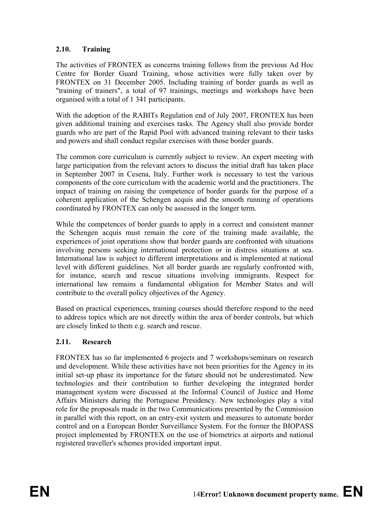# **2.10. Training**

The activities of FRONTEX as concerns training follows from the previous Ad Hoc Centre for Border Guard Training, whose activities were fully taken over by FRONTEX on 31 December 2005. Including training of border guards as well as "training of trainers", a total of 97 trainings, meetings and workshops have been organised with a total of 1 341 participants.

With the adoption of the RABITs Regulation end of July 2007, FRONTEX has been given additional training and exercises tasks. The Agency shall also provide border guards who are part of the Rapid Pool with advanced training relevant to their tasks and powers and shall conduct regular exercises with those border guards.

The common core curriculum is currently subject to review. An expert meeting with large participation from the relevant actors to discuss the initial draft has taken place in September 2007 in Cesena, Italy. Further work is necessary to test the various components of the core curriculum with the academic world and the practitioners. The impact of training on raising the competence of border guards for the purpose of a coherent application of the Schengen acquis and the smooth running of operations coordinated by FRONTEX can only be assessed in the longer term.

While the competences of border guards to apply in a correct and consistent manner the Schengen acquis must remain the core of the training made available, the experiences of joint operations show that border guards are confronted with situations involving persons seeking international protection or in distress situations at sea. International law is subject to different interpretations and is implemented at national level with different guidelines. Not all border guards are regularly confronted with, for instance, search and rescue situations involving immigrants. Respect for international law remains a fundamental obligation for Member States and will contribute to the overall policy objectives of the Agency.

Based on practical experiences, training courses should therefore respond to the need to address topics which are not directly within the area of border controls, but which are closely linked to them e.g. search and rescue.

### **2.11. Research**

FRONTEX has so far implemented 6 projects and 7 workshops/seminars on research and development. While these activities have not been priorities for the Agency in its initial set-up phase its importance for the future should not be underestimated. New technologies and their contribution to further developing the integrated border management system were discussed at the Informal Council of Justice and Home Affairs Ministers during the Portuguese Presidency. New technologies play a vital role for the proposals made in the two Communications presented by the Commission in parallel with this report, on an entry-exit system and measures to automate border control and on a European Border Surveillance System. For the former the BIOPASS project implemented by FRONTEX on the use of biometrics at airports and national registered traveller's schemes provided important input.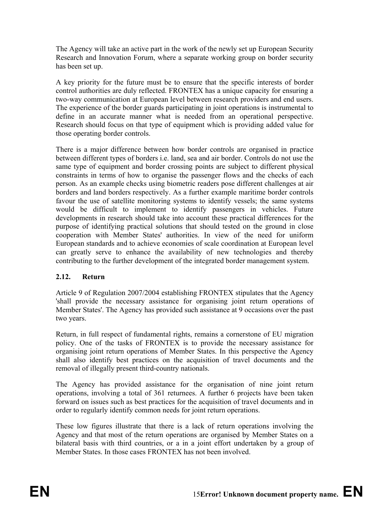The Agency will take an active part in the work of the newly set up European Security Research and Innovation Forum, where a separate working group on border security has been set up.

A key priority for the future must be to ensure that the specific interests of border control authorities are duly reflected. FRONTEX has a unique capacity for ensuring a two-way communication at European level between research providers and end users. The experience of the border guards participating in joint operations is instrumental to define in an accurate manner what is needed from an operational perspective. Research should focus on that type of equipment which is providing added value for those operating border controls.

There is a major difference between how border controls are organised in practice between different types of borders i.e. land, sea and air border. Controls do not use the same type of equipment and border crossing points are subject to different physical constraints in terms of how to organise the passenger flows and the checks of each person. As an example checks using biometric readers pose different challenges at air borders and land borders respectively. As a further example maritime border controls favour the use of satellite monitoring systems to identify vessels; the same systems would be difficult to implement to identify passengers in vehicles. Future developments in research should take into account these practical differences for the purpose of identifying practical solutions that should tested on the ground in close cooperation with Member States' authorities. In view of the need for uniform European standards and to achieve economies of scale coordination at European level can greatly serve to enhance the availability of new technologies and thereby contributing to the further development of the integrated border management system.

### **2.12. Return**

Article 9 of Regulation 2007/2004 establishing FRONTEX stipulates that the Agency 'shall provide the necessary assistance for organising joint return operations of Member States'. The Agency has provided such assistance at 9 occasions over the past two years.

Return, in full respect of fundamental rights, remains a cornerstone of EU migration policy. One of the tasks of FRONTEX is to provide the necessary assistance for organising joint return operations of Member States. In this perspective the Agency shall also identify best practices on the acquisition of travel documents and the removal of illegally present third-country nationals.

The Agency has provided assistance for the organisation of nine joint return operations, involving a total of 361 returnees. A further 6 projects have been taken forward on issues such as best practices for the acquisition of travel documents and in order to regularly identify common needs for joint return operations.

These low figures illustrate that there is a lack of return operations involving the Agency and that most of the return operations are organised by Member States on a bilateral basis with third countries, or a in a joint effort undertaken by a group of Member States. In those cases FRONTEX has not been involved.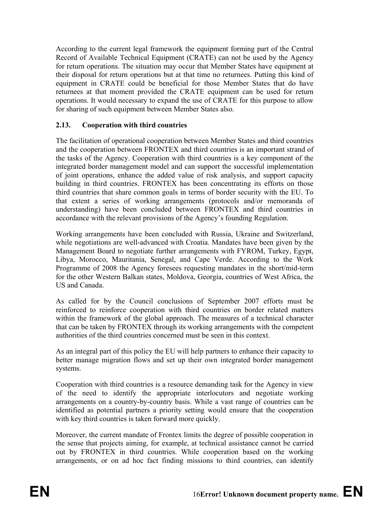According to the current legal framework the equipment forming part of the Central Record of Available Technical Equipment (CRATE) can not be used by the Agency for return operations. The situation may occur that Member States have equipment at their disposal for return operations but at that time no returnees. Putting this kind of equipment in CRATE could be beneficial for those Member States that do have returnees at that moment provided the CRATE equipment can be used for return operations. It would necessary to expand the use of CRATE for this purpose to allow for sharing of such equipment between Member States also.

### **2.13. Cooperation with third countries**

The facilitation of operational cooperation between Member States and third countries and the cooperation between FRONTEX and third countries is an important strand of the tasks of the Agency. Cooperation with third countries is a key component of the integrated border management model and can support the successful implementation of joint operations, enhance the added value of risk analysis, and support capacity building in third countries. FRONTEX has been concentrating its efforts on those third countries that share common goals in terms of border security with the EU. To that extent a series of working arrangements (protocols and/or memoranda of understanding) have been concluded between FRONTEX and third countries in accordance with the relevant provisions of the Agency's founding Regulation.

Working arrangements have been concluded with Russia, Ukraine and Switzerland, while negotiations are well-advanced with Croatia. Mandates have been given by the Management Board to negotiate further arrangements with FYROM, Turkey, Egypt, Libya, Morocco, Mauritania, Senegal, and Cape Verde. According to the Work Programme of 2008 the Agency foresees requesting mandates in the short/mid-term for the other Western Balkan states, Moldova, Georgia, countries of West Africa, the US and Canada.

As called for by the Council conclusions of September 2007 efforts must be reinforced to reinforce cooperation with third countries on border related matters within the framework of the global approach. The measures of a technical character that can be taken by FRONTEX through its working arrangements with the competent authorities of the third countries concerned must be seen in this context.

As an integral part of this policy the EU will help partners to enhance their capacity to better manage migration flows and set up their own integrated border management systems.

Cooperation with third countries is a resource demanding task for the Agency in view of the need to identify the appropriate interlocutors and negotiate working arrangements on a country-by-country basis. While a vast range of countries can be identified as potential partners a priority setting would ensure that the cooperation with key third countries is taken forward more quickly.

Moreover, the current mandate of Frontex limits the degree of possible cooperation in the sense that projects aiming, for example, at technical assistance cannot be carried out by FRONTEX in third countries. While cooperation based on the working arrangements, or on ad hoc fact finding missions to third countries, can identify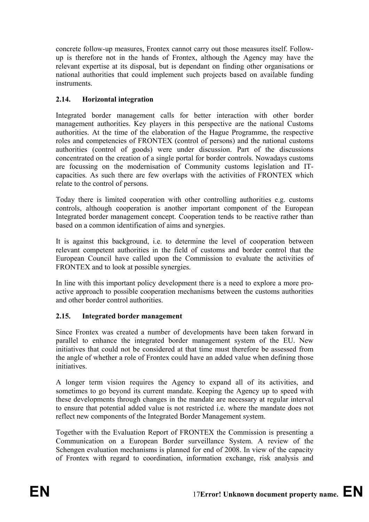concrete follow-up measures, Frontex cannot carry out those measures itself. Followup is therefore not in the hands of Frontex, although the Agency may have the relevant expertise at its disposal, but is dependant on finding other organisations or national authorities that could implement such projects based on available funding instruments.

# **2.14. Horizontal integration**

Integrated border management calls for better interaction with other border management authorities. Key players in this perspective are the national Customs authorities. At the time of the elaboration of the Hague Programme, the respective roles and competencies of FRONTEX (control of persons) and the national customs authorities (control of goods) were under discussion. Part of the discussions concentrated on the creation of a single portal for border controls. Nowadays customs are focussing on the modernisation of Community customs legislation and ITcapacities. As such there are few overlaps with the activities of FRONTEX which relate to the control of persons.

Today there is limited cooperation with other controlling authorities e.g. customs controls, although cooperation is another important component of the European Integrated border management concept. Cooperation tends to be reactive rather than based on a common identification of aims and synergies.

It is against this background, i.e. to determine the level of cooperation between relevant competent authorities in the field of customs and border control that the European Council have called upon the Commission to evaluate the activities of FRONTEX and to look at possible synergies.

In line with this important policy development there is a need to explore a more proactive approach to possible cooperation mechanisms between the customs authorities and other border control authorities.

### **2.15. Integrated border management**

Since Frontex was created a number of developments have been taken forward in parallel to enhance the integrated border management system of the EU. New initiatives that could not be considered at that time must therefore be assessed from the angle of whether a role of Frontex could have an added value when defining those initiatives.

A longer term vision requires the Agency to expand all of its activities, and sometimes to go beyond its current mandate. Keeping the Agency up to speed with these developments through changes in the mandate are necessary at regular interval to ensure that potential added value is not restricted i.e. where the mandate does not reflect new components of the Integrated Border Management system.

Together with the Evaluation Report of FRONTEX the Commission is presenting a Communication on a European Border surveillance System. A review of the Schengen evaluation mechanisms is planned for end of 2008. In view of the capacity of Frontex with regard to coordination, information exchange, risk analysis and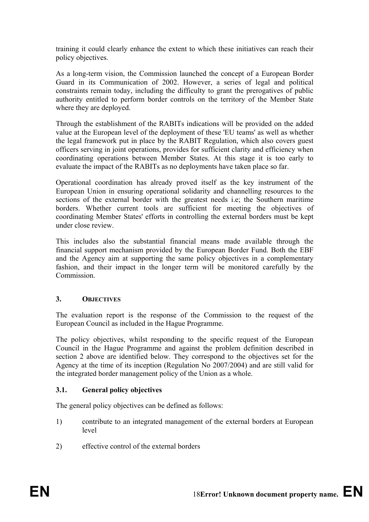training it could clearly enhance the extent to which these initiatives can reach their policy objectives.

As a long-term vision, the Commission launched the concept of a European Border Guard in its Communication of 2002. However, a series of legal and political constraints remain today, including the difficulty to grant the prerogatives of public authority entitled to perform border controls on the territory of the Member State where they are deployed.

Through the establishment of the RABITs indications will be provided on the added value at the European level of the deployment of these 'EU teams' as well as whether the legal framework put in place by the RABIT Regulation, which also covers guest officers serving in joint operations, provides for sufficient clarity and efficiency when coordinating operations between Member States. At this stage it is too early to evaluate the impact of the RABITs as no deployments have taken place so far.

Operational coordination has already proved itself as the key instrument of the European Union in ensuring operational solidarity and channelling resources to the sections of the external border with the greatest needs i.e; the Southern maritime borders. Whether current tools are sufficient for meeting the objectives of coordinating Member States' efforts in controlling the external borders must be kept under close review.

This includes also the substantial financial means made available through the financial support mechanism provided by the European Border Fund. Both the EBF and the Agency aim at supporting the same policy objectives in a complementary fashion, and their impact in the longer term will be monitored carefully by the **Commission** 

### **3. OBJECTIVES**

The evaluation report is the response of the Commission to the request of the European Council as included in the Hague Programme.

The policy objectives, whilst responding to the specific request of the European Council in the Hague Programme and against the problem definition described in section 2 above are identified below. They correspond to the objectives set for the Agency at the time of its inception (Regulation No 2007/2004) and are still valid for the integrated border management policy of the Union as a whole.

### **3.1. General policy objectives**

The general policy objectives can be defined as follows:

- 1) contribute to an integrated management of the external borders at European level
- 2) effective control of the external borders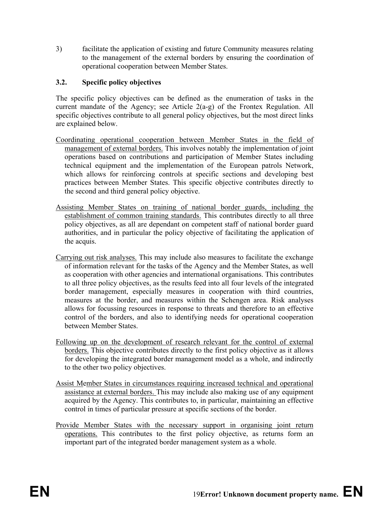3) facilitate the application of existing and future Community measures relating to the management of the external borders by ensuring the coordination of operational cooperation between Member States.

# **3.2. Specific policy objectives**

The specific policy objectives can be defined as the enumeration of tasks in the current mandate of the Agency; see Article 2(a-g) of the Frontex Regulation. All specific objectives contribute to all general policy objectives, but the most direct links are explained below.

- Coordinating operational cooperation between Member States in the field of management of external borders. This involves notably the implementation of joint operations based on contributions and participation of Member States including technical equipment and the implementation of the European patrols Network, which allows for reinforcing controls at specific sections and developing best practices between Member States. This specific objective contributes directly to the second and third general policy objective.
- Assisting Member States on training of national border guards, including the establishment of common training standards. This contributes directly to all three policy objectives, as all are dependant on competent staff of national border guard authorities, and in particular the policy objective of facilitating the application of the acquis.
- Carrying out risk analyses. This may include also measures to facilitate the exchange of information relevant for the tasks of the Agency and the Member States, as well as cooperation with other agencies and international organisations. This contributes to all three policy objectives, as the results feed into all four levels of the integrated border management, especially measures in cooperation with third countries, measures at the border, and measures within the Schengen area. Risk analyses allows for focussing resources in response to threats and therefore to an effective control of the borders, and also to identifying needs for operational cooperation between Member States.
- Following up on the development of research relevant for the control of external borders. This objective contributes directly to the first policy objective as it allows for developing the integrated border management model as a whole, and indirectly to the other two policy objectives.
- Assist Member States in circumstances requiring increased technical and operational assistance at external borders. This may include also making use of any equipment acquired by the Agency. This contributes to, in particular, maintaining an effective control in times of particular pressure at specific sections of the border.
- Provide Member States with the necessary support in organising joint return operations. This contributes to the first policy objective, as returns form an important part of the integrated border management system as a whole.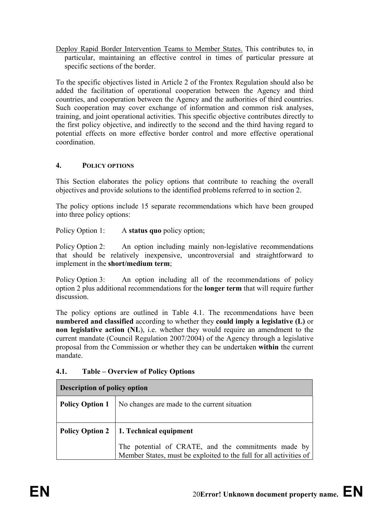Deploy Rapid Border Intervention Teams to Member States. This contributes to, in particular, maintaining an effective control in times of particular pressure at specific sections of the border.

To the specific objectives listed in Article 2 of the Frontex Regulation should also be added the facilitation of operational cooperation between the Agency and third countries, and cooperation between the Agency and the authorities of third countries. Such cooperation may cover exchange of information and common risk analyses, training, and joint operational activities. This specific objective contributes directly to the first policy objective, and indirectly to the second and the third having regard to potential effects on more effective border control and more effective operational coordination.

# **4. POLICY OPTIONS**

This Section elaborates the policy options that contribute to reaching the overall objectives and provide solutions to the identified problems referred to in section 2.

The policy options include 15 separate recommendations which have been grouped into three policy options:

Policy Option 1: A **status quo** policy option;

Policy Option 2: An option including mainly non-legislative recommendations that should be relatively inexpensive, uncontroversial and straightforward to implement in the **short/medium term**;

Policy Option 3: An option including all of the recommendations of policy option 2 plus additional recommendations for the **longer term** that will require further discussion.

The policy options are outlined in Table 4.1. The recommendations have been **numbered and classified** according to whether they **could imply a legislative (L)** or **non legislative action (NL)**, i.e. whether they would require an amendment to the current mandate (Council Regulation 2007/2004) of the Agency through a legislative proposal from the Commission or whether they can be undertaken **within** the current mandate.

### **4.1. Table – Overview of Policy Options**

| Description of policy option                                           |                                                                                                                           |  |  |  |  |
|------------------------------------------------------------------------|---------------------------------------------------------------------------------------------------------------------------|--|--|--|--|
| No changes are made to the current situation<br><b>Policy Option 1</b> |                                                                                                                           |  |  |  |  |
|                                                                        |                                                                                                                           |  |  |  |  |
|                                                                        | Policy Option 2   1. Technical equipment                                                                                  |  |  |  |  |
|                                                                        | The potential of CRATE, and the commitments made by<br>Member States, must be exploited to the full for all activities of |  |  |  |  |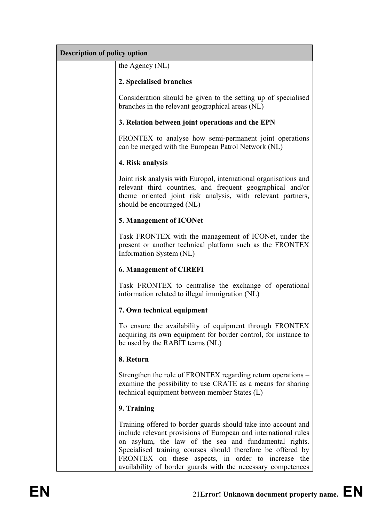| <b>Description of policy option</b> |                                                                                                                                                                                                                                                                                                                                                                                 |  |  |  |  |
|-------------------------------------|---------------------------------------------------------------------------------------------------------------------------------------------------------------------------------------------------------------------------------------------------------------------------------------------------------------------------------------------------------------------------------|--|--|--|--|
|                                     | the Agency (NL)                                                                                                                                                                                                                                                                                                                                                                 |  |  |  |  |
|                                     | 2. Specialised branches                                                                                                                                                                                                                                                                                                                                                         |  |  |  |  |
|                                     | Consideration should be given to the setting up of specialised<br>branches in the relevant geographical areas (NL)                                                                                                                                                                                                                                                              |  |  |  |  |
|                                     | 3. Relation between joint operations and the EPN                                                                                                                                                                                                                                                                                                                                |  |  |  |  |
|                                     | FRONTEX to analyse how semi-permanent joint operations<br>can be merged with the European Patrol Network (NL)                                                                                                                                                                                                                                                                   |  |  |  |  |
|                                     | 4. Risk analysis                                                                                                                                                                                                                                                                                                                                                                |  |  |  |  |
|                                     | Joint risk analysis with Europol, international organisations and<br>relevant third countries, and frequent geographical and/or<br>theme oriented joint risk analysis, with relevant partners,<br>should be encouraged (NL)                                                                                                                                                     |  |  |  |  |
|                                     | 5. Management of ICONet                                                                                                                                                                                                                                                                                                                                                         |  |  |  |  |
|                                     | Task FRONTEX with the management of ICONet, under the<br>present or another technical platform such as the FRONTEX<br>Information System (NL)                                                                                                                                                                                                                                   |  |  |  |  |
|                                     | <b>6. Management of CIREFI</b>                                                                                                                                                                                                                                                                                                                                                  |  |  |  |  |
|                                     | Task FRONTEX to centralise the exchange of operational<br>information related to illegal immigration (NL)                                                                                                                                                                                                                                                                       |  |  |  |  |
|                                     | 7. Own technical equipment                                                                                                                                                                                                                                                                                                                                                      |  |  |  |  |
|                                     | To ensure the availability of equipment through FRONTEX<br>acquiring its own equipment for border control, for instance to<br>be used by the RABIT teams (NL)                                                                                                                                                                                                                   |  |  |  |  |
|                                     | 8. Return                                                                                                                                                                                                                                                                                                                                                                       |  |  |  |  |
|                                     | Strengthen the role of FRONTEX regarding return operations –<br>examine the possibility to use CRATE as a means for sharing<br>technical equipment between member States (L)                                                                                                                                                                                                    |  |  |  |  |
|                                     | 9. Training                                                                                                                                                                                                                                                                                                                                                                     |  |  |  |  |
|                                     | Training offered to border guards should take into account and<br>include relevant provisions of European and international rules<br>on asylum, the law of the sea and fundamental rights.<br>Specialised training courses should therefore be offered by<br>FRONTEX on these aspects, in order to increase the<br>availability of border guards with the necessary competences |  |  |  |  |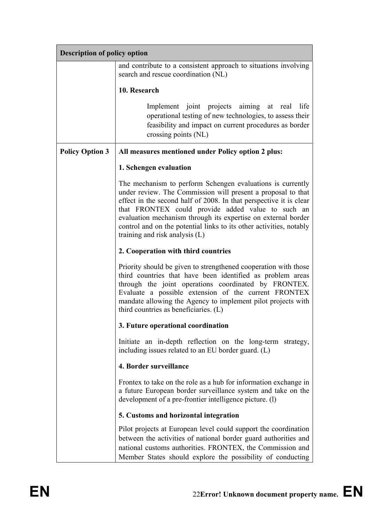| <b>Description of policy option</b> |                                                                                                                                                                                                                                                                                                                                                                                                                                 |  |  |  |  |  |
|-------------------------------------|---------------------------------------------------------------------------------------------------------------------------------------------------------------------------------------------------------------------------------------------------------------------------------------------------------------------------------------------------------------------------------------------------------------------------------|--|--|--|--|--|
|                                     | and contribute to a consistent approach to situations involving<br>search and rescue coordination (NL)                                                                                                                                                                                                                                                                                                                          |  |  |  |  |  |
|                                     | 10. Research                                                                                                                                                                                                                                                                                                                                                                                                                    |  |  |  |  |  |
|                                     | Implement joint projects aiming at real<br>life<br>operational testing of new technologies, to assess their<br>feasibility and impact on current procedures as border<br>crossing points (NL)                                                                                                                                                                                                                                   |  |  |  |  |  |
| <b>Policy Option 3</b>              | All measures mentioned under Policy option 2 plus:                                                                                                                                                                                                                                                                                                                                                                              |  |  |  |  |  |
|                                     | 1. Schengen evaluation                                                                                                                                                                                                                                                                                                                                                                                                          |  |  |  |  |  |
|                                     | The mechanism to perform Schengen evaluations is currently<br>under review. The Commission will present a proposal to that<br>effect in the second half of 2008. In that perspective it is clear<br>that FRONTEX could provide added value to such an<br>evaluation mechanism through its expertise on external border<br>control and on the potential links to its other activities, notably<br>training and risk analysis (L) |  |  |  |  |  |
|                                     | 2. Cooperation with third countries                                                                                                                                                                                                                                                                                                                                                                                             |  |  |  |  |  |
|                                     | Priority should be given to strengthened cooperation with those<br>third countries that have been identified as problem areas<br>through the joint operations coordinated by FRONTEX.<br>Evaluate a possible extension of the current FRONTEX<br>mandate allowing the Agency to implement pilot projects with<br>third countries as beneficiaries. (L)                                                                          |  |  |  |  |  |
|                                     | 3. Future operational coordination                                                                                                                                                                                                                                                                                                                                                                                              |  |  |  |  |  |
|                                     | Initiate an in-depth reflection on the long-term strategy,<br>including issues related to an EU border guard. (L)                                                                                                                                                                                                                                                                                                               |  |  |  |  |  |
|                                     | 4. Border surveillance                                                                                                                                                                                                                                                                                                                                                                                                          |  |  |  |  |  |
|                                     | Frontex to take on the role as a hub for information exchange in<br>a future European border surveillance system and take on the<br>development of a pre-frontier intelligence picture. (1)                                                                                                                                                                                                                                     |  |  |  |  |  |
|                                     | 5. Customs and horizontal integration                                                                                                                                                                                                                                                                                                                                                                                           |  |  |  |  |  |
|                                     | Pilot projects at European level could support the coordination<br>between the activities of national border guard authorities and<br>national customs authorities. FRONTEX, the Commission and<br>Member States should explore the possibility of conducting                                                                                                                                                                   |  |  |  |  |  |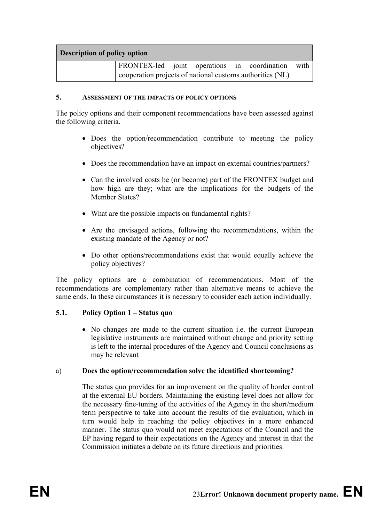| <b>Description of policy option</b> |                                                           |  |  |  |  |  |  |
|-------------------------------------|-----------------------------------------------------------|--|--|--|--|--|--|
|                                     | <b>FRONTEX-led</b> joint operations in coordination with  |  |  |  |  |  |  |
|                                     | cooperation projects of national customs authorities (NL) |  |  |  |  |  |  |

#### **5. ASSESSMENT OF THE IMPACTS OF POLICY OPTIONS**

The policy options and their component recommendations have been assessed against the following criteria.

- Does the option/recommendation contribute to meeting the policy objectives?
- Does the recommendation have an impact on external countries/partners?
- Can the involved costs be (or become) part of the FRONTEX budget and how high are they; what are the implications for the budgets of the Member States?
- What are the possible impacts on fundamental rights?
- Are the envisaged actions, following the recommendations, within the existing mandate of the Agency or not?
- Do other options/recommendations exist that would equally achieve the policy objectives?

The policy options are a combination of recommendations. Most of the recommendations are complementary rather than alternative means to achieve the same ends. In these circumstances it is necessary to consider each action individually.

### **5.1. Policy Option 1 – Status quo**

• No changes are made to the current situation i.e. the current European legislative instruments are maintained without change and priority setting is left to the internal procedures of the Agency and Council conclusions as may be relevant

### a) **Does the option/recommendation solve the identified shortcoming?**

The status quo provides for an improvement on the quality of border control at the external EU borders. Maintaining the existing level does not allow for the necessary fine-tuning of the activities of the Agency in the short/medium term perspective to take into account the results of the evaluation, which in turn would help in reaching the policy objectives in a more enhanced manner. The status quo would not meet expectations of the Council and the EP having regard to their expectations on the Agency and interest in that the Commission initiates a debate on its future directions and priorities.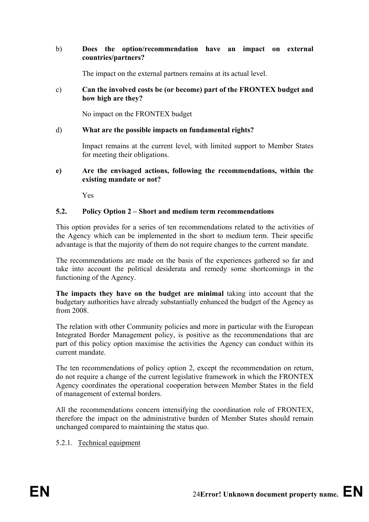### b) **Does the option/recommendation have an impact on external countries/partners?**

The impact on the external partners remains at its actual level.

#### c) **Can the involved costs be (or become) part of the FRONTEX budget and how high are they?**

No impact on the FRONTEX budget

### d) **What are the possible impacts on fundamental rights?**

Impact remains at the current level, with limited support to Member States for meeting their obligations.

#### **e) Are the envisaged actions, following the recommendations, within the existing mandate or not?**

Yes

### **5.2. Policy Option 2 – Short and medium term recommendations**

This option provides for a series of ten recommendations related to the activities of the Agency which can be implemented in the short to medium term. Their specific advantage is that the majority of them do not require changes to the current mandate.

The recommendations are made on the basis of the experiences gathered so far and take into account the political desiderata and remedy some shortcomings in the functioning of the Agency.

**The impacts they have on the budget are minimal** taking into account that the budgetary authorities have already substantially enhanced the budget of the Agency as from 2008.

The relation with other Community policies and more in particular with the European Integrated Border Management policy, is positive as the recommendations that are part of this policy option maximise the activities the Agency can conduct within its current mandate.

The ten recommendations of policy option 2, except the recommendation on return, do not require a change of the current legislative framework in which the FRONTEX Agency coordinates the operational cooperation between Member States in the field of management of external borders.

All the recommendations concern intensifying the coordination role of FRONTEX, therefore the impact on the administrative burden of Member States should remain unchanged compared to maintaining the status quo.

5.2.1. Technical equipment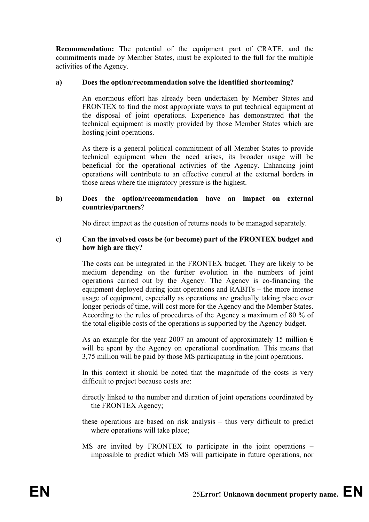**Recommendation:** The potential of the equipment part of CRATE, and the commitments made by Member States, must be exploited to the full for the multiple activities of the Agency.

### **a) Does the option/recommendation solve the identified shortcoming?**

An enormous effort has already been undertaken by Member States and FRONTEX to find the most appropriate ways to put technical equipment at the disposal of joint operations. Experience has demonstrated that the technical equipment is mostly provided by those Member States which are hosting joint operations.

As there is a general political commitment of all Member States to provide technical equipment when the need arises, its broader usage will be beneficial for the operational activities of the Agency. Enhancing joint operations will contribute to an effective control at the external borders in those areas where the migratory pressure is the highest.

#### **b) Does the option/recommendation have an impact on external countries/partners**?

No direct impact as the question of returns needs to be managed separately.

#### **c) Can the involved costs be (or become) part of the FRONTEX budget and how high are they?**

The costs can be integrated in the FRONTEX budget. They are likely to be medium depending on the further evolution in the numbers of joint operations carried out by the Agency. The Agency is co-financing the equipment deployed during joint operations and RABITs – the more intense usage of equipment, especially as operations are gradually taking place over longer periods of time, will cost more for the Agency and the Member States. According to the rules of procedures of the Agency a maximum of 80 % of the total eligible costs of the operations is supported by the Agency budget.

As an example for the year 2007 an amount of approximately 15 million  $\epsilon$ will be spent by the Agency on operational coordination. This means that 3,75 million will be paid by those MS participating in the joint operations.

In this context it should be noted that the magnitude of the costs is very difficult to project because costs are:

- directly linked to the number and duration of joint operations coordinated by the FRONTEX Agency;
- these operations are based on risk analysis thus very difficult to predict where operations will take place;
- MS are invited by FRONTEX to participate in the joint operations impossible to predict which MS will participate in future operations, nor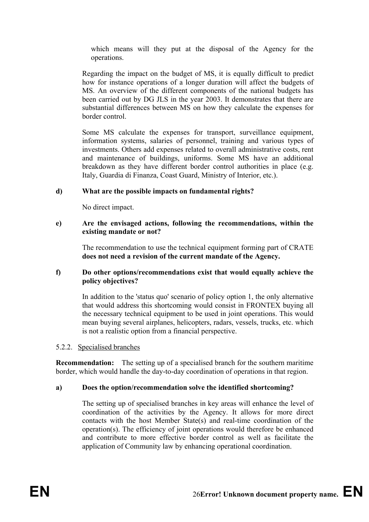which means will they put at the disposal of the Agency for the operations.

Regarding the impact on the budget of MS, it is equally difficult to predict how for instance operations of a longer duration will affect the budgets of MS. An overview of the different components of the national budgets has been carried out by DG JLS in the year 2003. It demonstrates that there are substantial differences between MS on how they calculate the expenses for border control.

Some MS calculate the expenses for transport, surveillance equipment, information systems, salaries of personnel, training and various types of investments. Others add expenses related to overall administrative costs, rent and maintenance of buildings, uniforms. Some MS have an additional breakdown as they have different border control authorities in place (e.g. Italy, Guardia di Finanza, Coast Guard, Ministry of Interior, etc.).

### **d) What are the possible impacts on fundamental rights?**

No direct impact.

### **e) Are the envisaged actions, following the recommendations, within the existing mandate or not?**

The recommendation to use the technical equipment forming part of CRATE **does not need a revision of the current mandate of the Agency.**

### **f) Do other options/recommendations exist that would equally achieve the policy objectives?**

In addition to the 'status quo' scenario of policy option 1, the only alternative that would address this shortcoming would consist in FRONTEX buying all the necessary technical equipment to be used in joint operations. This would mean buying several airplanes, helicopters, radars, vessels, trucks, etc. which is not a realistic option from a financial perspective.

### 5.2.2. Specialised branches

**Recommendation:** The setting up of a specialised branch for the southern maritime border, which would handle the day-to-day coordination of operations in that region.

### **a) Does the option/recommendation solve the identified shortcoming?**

The setting up of specialised branches in key areas will enhance the level of coordination of the activities by the Agency. It allows for more direct contacts with the host Member State(s) and real-time coordination of the operation(s). The efficiency of joint operations would therefore be enhanced and contribute to more effective border control as well as facilitate the application of Community law by enhancing operational coordination.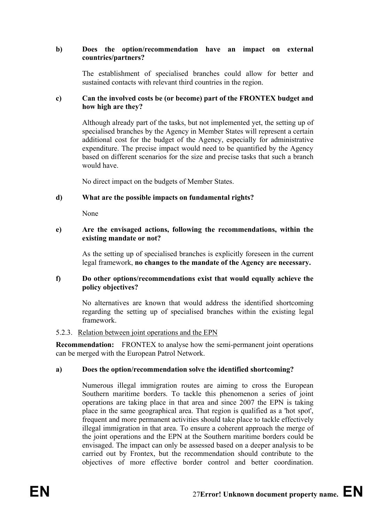### **b) Does the option/recommendation have an impact on external countries/partners?**

The establishment of specialised branches could allow for better and sustained contacts with relevant third countries in the region.

### **c) Can the involved costs be (or become) part of the FRONTEX budget and how high are they?**

Although already part of the tasks, but not implemented yet, the setting up of specialised branches by the Agency in Member States will represent a certain additional cost for the budget of the Agency, especially for administrative expenditure. The precise impact would need to be quantified by the Agency based on different scenarios for the size and precise tasks that such a branch would have.

No direct impact on the budgets of Member States.

### **d) What are the possible impacts on fundamental rights?**

None

#### **e) Are the envisaged actions, following the recommendations, within the existing mandate or not?**

As the setting up of specialised branches is explicitly foreseen in the current legal framework, **no changes to the mandate of the Agency are necessary.** 

#### **f) Do other options/recommendations exist that would equally achieve the policy objectives?**

No alternatives are known that would address the identified shortcoming regarding the setting up of specialised branches within the existing legal framework.

#### 5.2.3. Relation between joint operations and the EPN

**Recommendation:** FRONTEX to analyse how the semi-permanent joint operations can be merged with the European Patrol Network.

### **a) Does the option/recommendation solve the identified shortcoming?**

Numerous illegal immigration routes are aiming to cross the European Southern maritime borders. To tackle this phenomenon a series of joint operations are taking place in that area and since 2007 the EPN is taking place in the same geographical area. That region is qualified as a 'hot spot', frequent and more permanent activities should take place to tackle effectively illegal immigration in that area. To ensure a coherent approach the merge of the joint operations and the EPN at the Southern maritime borders could be envisaged. The impact can only be assessed based on a deeper analysis to be carried out by Frontex, but the recommendation should contribute to the objectives of more effective border control and better coordination.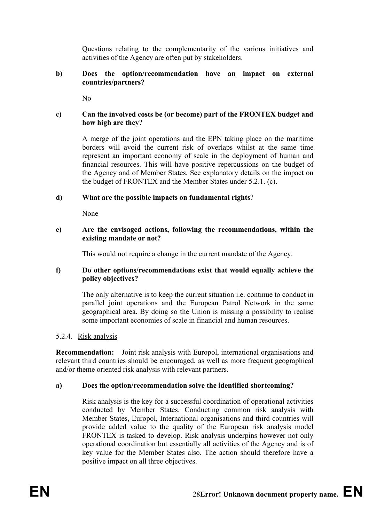Questions relating to the complementarity of the various initiatives and activities of the Agency are often put by stakeholders.

### **b) Does the option/recommendation have an impact on external countries/partners?**

 $N<sub>0</sub>$ 

### **c) Can the involved costs be (or become) part of the FRONTEX budget and how high are they?**

A merge of the joint operations and the EPN taking place on the maritime borders will avoid the current risk of overlaps whilst at the same time represent an important economy of scale in the deployment of human and financial resources. This will have positive repercussions on the budget of the Agency and of Member States. See explanatory details on the impact on the budget of FRONTEX and the Member States under 5.2.1. (c).

### **d) What are the possible impacts on fundamental rights**?

None

#### **e) Are the envisaged actions, following the recommendations, within the existing mandate or not?**

This would not require a change in the current mandate of the Agency.

### **f) Do other options/recommendations exist that would equally achieve the policy objectives?**

The only alternative is to keep the current situation i.e. continue to conduct in parallel joint operations and the European Patrol Network in the same geographical area. By doing so the Union is missing a possibility to realise some important economies of scale in financial and human resources.

### 5.2.4. Risk analysis

**Recommendation:** Joint risk analysis with Europol, international organisations and relevant third countries should be encouraged, as well as more frequent geographical and/or theme oriented risk analysis with relevant partners.

### **a) Does the option/recommendation solve the identified shortcoming?**

Risk analysis is the key for a successful coordination of operational activities conducted by Member States. Conducting common risk analysis with Member States, Europol, International organisations and third countries will provide added value to the quality of the European risk analysis model FRONTEX is tasked to develop. Risk analysis underpins however not only operational coordination but essentially all activities of the Agency and is of key value for the Member States also. The action should therefore have a positive impact on all three objectives.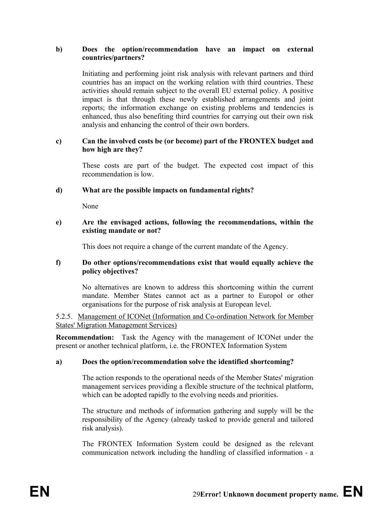#### **b) Does the option/recommendation have an impact on external countries/partners?**

Initiating and performing joint risk analysis with relevant partners and third countries has an impact on the working relation with third countries. These activities should remain subject to the overall EU external policy. A positive impact is that through these newly established arrangements and joint reports; the information exchange on existing problems and tendencies is enhanced, thus also benefiting third countries for carrying out their own risk analysis and enhancing the control of their own borders.

#### **c) Can the involved costs be (or become) part of the FRONTEX budget and how high are they?**

These costs are part of the budget. The expected cost impact of this recommendation is low.

#### **d) What are the possible impacts on fundamental rights?**

None

#### **e) Are the envisaged actions, following the recommendations, within the existing mandate or not?**

This does not require a change of the current mandate of the Agency.

### **f) Do other options/recommendations exist that would equally achieve the policy objectives?**

No alternatives are known to address this shortcoming within the current mandate. Member States cannot act as a partner to Europol or other organisations for the purpose of risk analysis at European level.

5.2.5. Management of ICONet (Information and Co-ordination Network for Member States' Migration Management Services)

**Recommendation:** Task the Agency with the management of ICONet under the present or another technical platform, i.e. the FRONTEX Information System

### **a) Does the option/recommendation solve the identified shortcoming?**

The action responds to the operational needs of the Member States' migration management services providing a flexible structure of the technical platform, which can be adopted rapidly to the evolving needs and priorities.

The structure and methods of information gathering and supply will be the responsibility of the Agency (already tasked to provide general and tailored risk analysis).

The FRONTEX Information System could be designed as the relevant communication network including the handling of classified information - a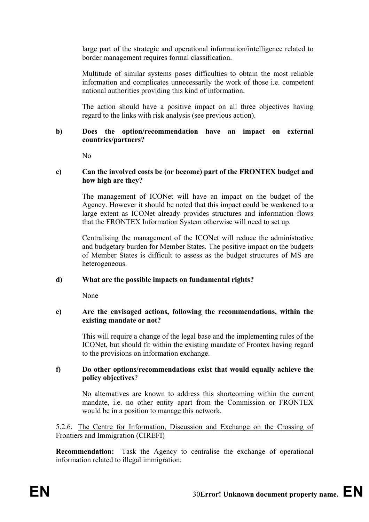large part of the strategic and operational information/intelligence related to border management requires formal classification.

Multitude of similar systems poses difficulties to obtain the most reliable information and complicates unnecessarily the work of those i.e. competent national authorities providing this kind of information.

The action should have a positive impact on all three objectives having regard to the links with risk analysis (see previous action).

#### **b) Does the option/recommendation have an impact on external countries/partners?**

No

#### **c) Can the involved costs be (or become) part of the FRONTEX budget and how high are they?**

The management of ICONet will have an impact on the budget of the Agency. However it should be noted that this impact could be weakened to a large extent as ICONet already provides structures and information flows that the FRONTEX Information System otherwise will need to set up.

Centralising the management of the ICONet will reduce the administrative and budgetary burden for Member States. The positive impact on the budgets of Member States is difficult to assess as the budget structures of MS are heterogeneous.

### **d) What are the possible impacts on fundamental rights?**

None

#### **e) Are the envisaged actions, following the recommendations, within the existing mandate or not?**

This will require a change of the legal base and the implementing rules of the ICONet, but should fit within the existing mandate of Frontex having regard to the provisions on information exchange.

#### **f) Do other options/recommendations exist that would equally achieve the policy objectives**?

No alternatives are known to address this shortcoming within the current mandate, i.e. no other entity apart from the Commission or FRONTEX would be in a position to manage this network.

5.2.6. The Centre for Information, Discussion and Exchange on the Crossing of Frontiers and Immigration (CIREFI)

**Recommendation:** Task the Agency to centralise the exchange of operational information related to illegal immigration.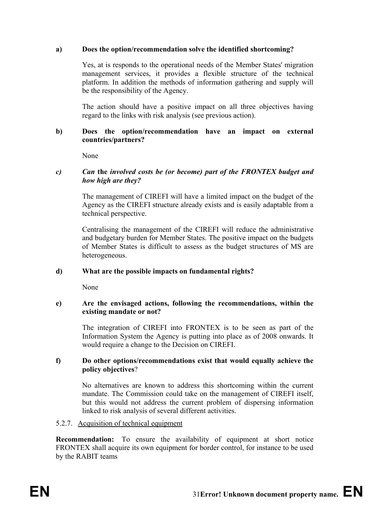### **a) Does the option/recommendation solve the identified shortcoming?**

Yes, at is responds to the operational needs of the Member States' migration management services, it provides a flexible structure of the technical platform. In addition the methods of information gathering and supply will be the responsibility of the Agency.

The action should have a positive impact on all three objectives having regard to the links with risk analysis (see previous action).

#### **b) Does the option/recommendation have an impact on external countries/partners?**

None

### *c) Can* **the** *involved costs be (or become) part of the FRONTEX budget and how high are they?*

The management of CIREFI will have a limited impact on the budget of the Agency as the CIREFI structure already exists and is easily adaptable from a technical perspective.

Centralising the management of the CIREFI will reduce the administrative and budgetary burden for Member States. The positive impact on the budgets of Member States is difficult to assess as the budget structures of MS are heterogeneous.

### **d) What are the possible impacts on fundamental rights?**

None

### **e) Are the envisaged actions, following the recommendations, within the existing mandate or not?**

The integration of CIREFI into FRONTEX is to be seen as part of the Information System the Agency is putting into place as of 2008 onwards. It would require a change to the Decision on CIREFI.

### **f) Do other options/recommendations exist that would equally achieve the policy objectives**?

No alternatives are known to address this shortcoming within the current mandate. The Commission could take on the management of CIREFI itself, but this would not address the current problem of dispersing information linked to risk analysis of several different activities.

### 5.2.7. Acquisition of technical equipment

**Recommendation:** To ensure the availability of equipment at short notice FRONTEX shall acquire its own equipment for border control, for instance to be used by the RABIT teams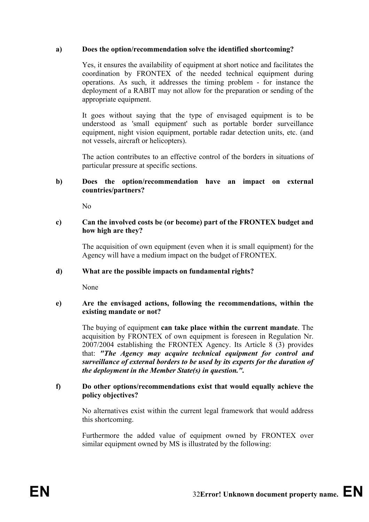### **a) Does the option/recommendation solve the identified shortcoming?**

Yes, it ensures the availability of equipment at short notice and facilitates the coordination by FRONTEX of the needed technical equipment during operations. As such, it addresses the timing problem - for instance the deployment of a RABIT may not allow for the preparation or sending of the appropriate equipment.

It goes without saying that the type of envisaged equipment is to be understood as 'small equipment' such as portable border surveillance equipment, night vision equipment, portable radar detection units, etc. (and not vessels, aircraft or helicopters).

The action contributes to an effective control of the borders in situations of particular pressure at specific sections.

#### **b) Does the option/recommendation have an impact on external countries/partners?**

 $N<sub>0</sub>$ 

#### **c) Can the involved costs be (or become) part of the FRONTEX budget and how high are they?**

The acquisition of own equipment (even when it is small equipment) for the Agency will have a medium impact on the budget of FRONTEX.

### **d) What are the possible impacts on fundamental rights?**

None

#### **e) Are the envisaged actions, following the recommendations, within the existing mandate or not?**

The buying of equipment **can take place within the current mandate**. The acquisition by FRONTEX of own equipment is foreseen in Regulation Nr. 2007/2004 establishing the FRONTEX Agency. Its Article 8 (3) provides that: *"The Agency may acquire technical equipment for control and surveillance of external borders to be used by its experts for the duration of the deployment in the Member State(s) in question.".*

### **f) Do other options/recommendations exist that would equally achieve the policy objectives?**

No alternatives exist within the current legal framework that would address this shortcoming.

Furthermore the added value of equipment owned by FRONTEX over similar equipment owned by MS is illustrated by the following: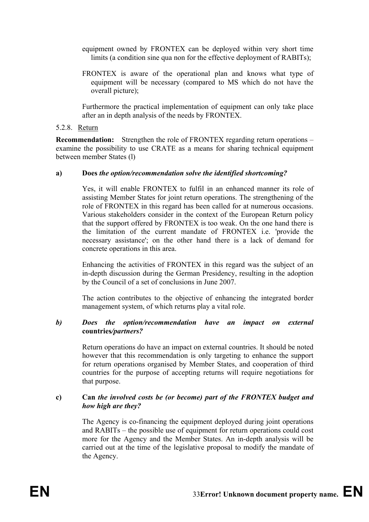- equipment owned by FRONTEX can be deployed within very short time limits (a condition sine qua non for the effective deployment of RABITs);
- FRONTEX is aware of the operational plan and knows what type of equipment will be necessary (compared to MS which do not have the overall picture);

Furthermore the practical implementation of equipment can only take place after an in depth analysis of the needs by FRONTEX.

#### 5.2.8. Return

**Recommendation:** Strengthen the role of FRONTEX regarding return operations – examine the possibility to use CRATE as a means for sharing technical equipment between member States (l)

#### **a) Does** *the option/recommendation solve the identified shortcoming?*

Yes, it will enable FRONTEX to fulfil in an enhanced manner its role of assisting Member States for joint return operations. The strengthening of the role of FRONTEX in this regard has been called for at numerous occasions. Various stakeholders consider in the context of the European Return policy that the support offered by FRONTEX is too weak. On the one hand there is the limitation of the current mandate of FRONTEX i.e. 'provide the necessary assistance'; on the other hand there is a lack of demand for concrete operations in this area.

Enhancing the activities of FRONTEX in this regard was the subject of an in-depth discussion during the German Presidency, resulting in the adoption by the Council of a set of conclusions in June 2007.

The action contributes to the objective of enhancing the integrated border management system, of which returns play a vital role.

#### *b) Does the option/recommendation have an impact on external*  **countries***/partners?*

Return operations do have an impact on external countries. It should be noted however that this recommendation is only targeting to enhance the support for return operations organised by Member States, and cooperation of third countries for the purpose of accepting returns will require negotiations for that purpose.

### **c) Can** *the involved costs be (or become) part of the FRONTEX budget and how high are they?*

The Agency is co-financing the equipment deployed during joint operations and RABITs – the possible use of equipment for return operations could cost more for the Agency and the Member States. An in-depth analysis will be carried out at the time of the legislative proposal to modify the mandate of the Agency.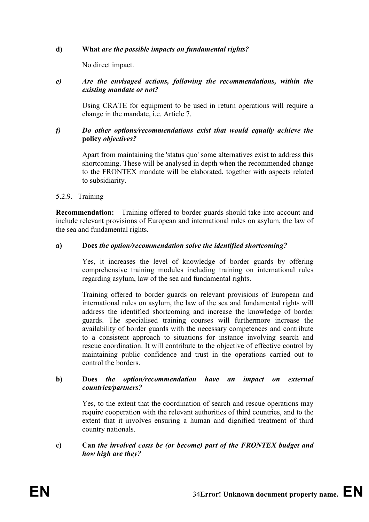### **d) What** *are the possible impacts on fundamental rights?*

No direct impact.

### *e) Are the envisaged actions, following the recommendations, within the existing mandate or not?*

Using CRATE for equipment to be used in return operations will require a change in the mandate, i.e. Article 7.

### *f) Do other options/recommendations exist that would equally achieve the*  **policy** *objectives?*

Apart from maintaining the 'status quo' some alternatives exist to address this shortcoming. These will be analysed in depth when the recommended change to the FRONTEX mandate will be elaborated, together with aspects related to subsidiarity.

### 5.2.9. Training

**Recommendation:** Training offered to border guards should take into account and include relevant provisions of European and international rules on asylum, the law of the sea and fundamental rights.

#### **a) Does** *the option/recommendation solve the identified shortcoming?*

Yes, it increases the level of knowledge of border guards by offering comprehensive training modules including training on international rules regarding asylum, law of the sea and fundamental rights.

Training offered to border guards on relevant provisions of European and international rules on asylum, the law of the sea and fundamental rights will address the identified shortcoming and increase the knowledge of border guards. The specialised training courses will furthermore increase the availability of border guards with the necessary competences and contribute to a consistent approach to situations for instance involving search and rescue coordination. It will contribute to the objective of effective control by maintaining public confidence and trust in the operations carried out to control the borders.

#### **b) Does** *the option/recommendation have an impact on external countries/partners?*

Yes, to the extent that the coordination of search and rescue operations may require cooperation with the relevant authorities of third countries, and to the extent that it involves ensuring a human and dignified treatment of third country nationals.

### **c) Can** *the involved costs be (or become) part of the FRONTEX budget and how high are they?*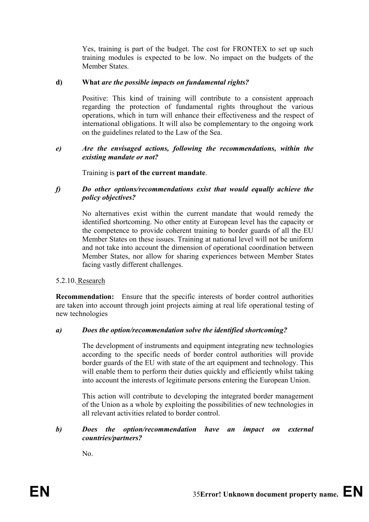Yes, training is part of the budget. The cost for FRONTEX to set up such training modules is expected to be low. No impact on the budgets of the Member States.

### **d) What** *are the possible impacts on fundamental rights?*

Positive: This kind of training will contribute to a consistent approach regarding the protection of fundamental rights throughout the various operations, which in turn will enhance their effectiveness and the respect of international obligations. It will also be complementary to the ongoing work on the guidelines related to the Law of the Sea.

#### *e) Are the envisaged actions, following the recommendations, within the existing mandate or not?*

#### Training is **part of the current mandate**.

### *f) Do other options/recommendations exist that would equally achieve the policy objectives?*

No alternatives exist within the current mandate that would remedy the identified shortcoming. No other entity at European level has the capacity or the competence to provide coherent training to border guards of all the EU Member States on these issues. Training at national level will not be uniform and not take into account the dimension of operational coordination between Member States, nor allow for sharing experiences between Member States facing vastly different challenges.

### 5.2.10. Research

**Recommendation:** Ensure that the specific interests of border control authorities are taken into account through joint projects aiming at real life operational testing of new technologies

#### *a) Does the option/recommendation solve the identified shortcoming?*

The development of instruments and equipment integrating new technologies according to the specific needs of border control authorities will provide border guards of the EU with state of the art equipment and technology. This will enable them to perform their duties quickly and efficiently whilst taking into account the interests of legitimate persons entering the European Union.

This action will contribute to developing the integrated border management of the Union as a whole by exploiting the possibilities of new technologies in all relevant activities related to border control.

### *b) Does the option/recommendation have an impact on external countries/partners?*

No.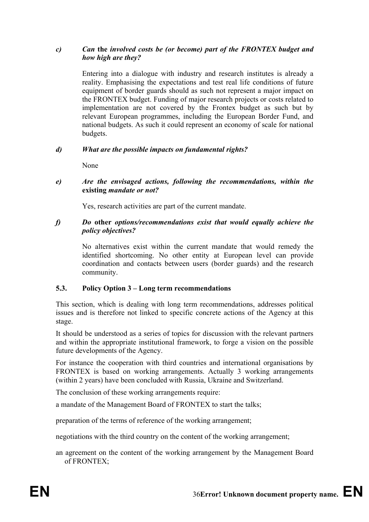### *c) Can* **the** *involved costs be (or become) part of the FRONTEX budget and how high are they?*

Entering into a dialogue with industry and research institutes is already a reality. Emphasising the expectations and test real life conditions of future equipment of border guards should as such not represent a major impact on the FRONTEX budget. Funding of major research projects or costs related to implementation are not covered by the Frontex budget as such but by relevant European programmes, including the European Border Fund, and national budgets. As such it could represent an economy of scale for national budgets.

### *d) What are the possible impacts on fundamental rights?*

None

#### *e) Are the envisaged actions, following the recommendations, within the*  **existing** *mandate or not?*

Yes, research activities are part of the current mandate.

#### *f) Do* **other** *options/recommendations exist that would equally achieve the policy objectives?*

No alternatives exist within the current mandate that would remedy the identified shortcoming. No other entity at European level can provide coordination and contacts between users (border guards) and the research community.

### **5.3. Policy Option 3 – Long term recommendations**

This section, which is dealing with long term recommendations, addresses political issues and is therefore not linked to specific concrete actions of the Agency at this stage.

It should be understood as a series of topics for discussion with the relevant partners and within the appropriate institutional framework, to forge a vision on the possible future developments of the Agency.

For instance the cooperation with third countries and international organisations by FRONTEX is based on working arrangements. Actually 3 working arrangements (within 2 years) have been concluded with Russia, Ukraine and Switzerland.

The conclusion of these working arrangements require:

a mandate of the Management Board of FRONTEX to start the talks;

preparation of the terms of reference of the working arrangement;

negotiations with the third country on the content of the working arrangement;

an agreement on the content of the working arrangement by the Management Board of FRONTEX;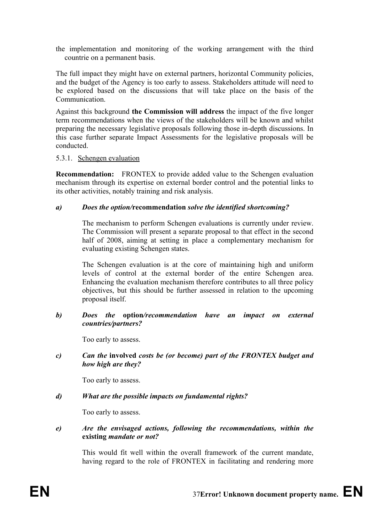the implementation and monitoring of the working arrangement with the third countrie on a permanent basis.

The full impact they might have on external partners, horizontal Community policies, and the budget of the Agency is too early to assess. Stakeholders attitude will need to be explored based on the discussions that will take place on the basis of the **Communication** 

Against this background **the Commission will address** the impact of the five longer term recommendations when the views of the stakeholders will be known and whilst preparing the necessary legislative proposals following those in-depth discussions. In this case further separate Impact Assessments for the legislative proposals will be conducted.

#### 5.3.1. Schengen evaluation

**Recommendation:** FRONTEX to provide added value to the Schengen evaluation mechanism through its expertise on external border control and the potential links to its other activities, notably training and risk analysis.

### *a) Does the option/***recommendation** *solve the identified shortcoming?*

The mechanism to perform Schengen evaluations is currently under review. The Commission will present a separate proposal to that effect in the second half of 2008, aiming at setting in place a complementary mechanism for evaluating existing Schengen states.

The Schengen evaluation is at the core of maintaining high and uniform levels of control at the external border of the entire Schengen area. Enhancing the evaluation mechanism therefore contributes to all three policy objectives, but this should be further assessed in relation to the upcoming proposal itself.

#### *b) Does the* **option***/recommendation have an impact on external countries/partners?*

Too early to assess.

*c) Can the* **involved** *costs be (or become) part of the FRONTEX budget and how high are they?* 

Too early to assess.

### *d) What are the possible impacts on fundamental rights?*

Too early to assess.

*e) Are the envisaged actions, following the recommendations, within the*  **existing** *mandate or not?*

This would fit well within the overall framework of the current mandate, having regard to the role of FRONTEX in facilitating and rendering more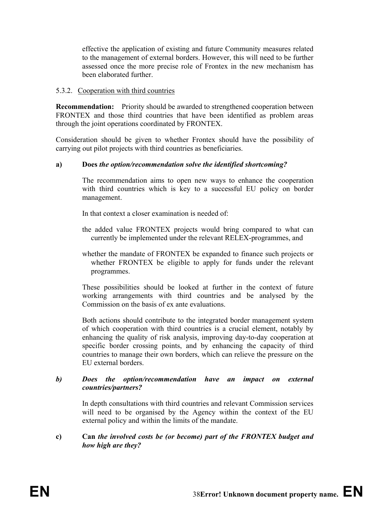effective the application of existing and future Community measures related to the management of external borders. However, this will need to be further assessed once the more precise role of Frontex in the new mechanism has been elaborated further.

### 5.3.2. Cooperation with third countries

**Recommendation:** Priority should be awarded to strengthened cooperation between FRONTEX and those third countries that have been identified as problem areas through the joint operations coordinated by FRONTEX.

Consideration should be given to whether Frontex should have the possibility of carrying out pilot projects with third countries as beneficiaries.

### **a) Does** *the option/recommendation solve the identified shortcoming?*

The recommendation aims to open new ways to enhance the cooperation with third countries which is key to a successful EU policy on border management.

In that context a closer examination is needed of

- the added value FRONTEX projects would bring compared to what can currently be implemented under the relevant RELEX-programmes, and
- whether the mandate of FRONTEX be expanded to finance such projects or whether FRONTEX be eligible to apply for funds under the relevant programmes.

These possibilities should be looked at further in the context of future working arrangements with third countries and be analysed by the Commission on the basis of ex ante evaluations.

Both actions should contribute to the integrated border management system of which cooperation with third countries is a crucial element, notably by enhancing the quality of risk analysis, improving day-to-day cooperation at specific border crossing points, and by enhancing the capacity of third countries to manage their own borders, which can relieve the pressure on the EU external borders.

### *b) Does the option/recommendation have an impact on external countries/partners?*

In depth consultations with third countries and relevant Commission services will need to be organised by the Agency within the context of the EU external policy and within the limits of the mandate.

### **c) Can** *the involved costs be (or become) part of the FRONTEX budget and how high are they?*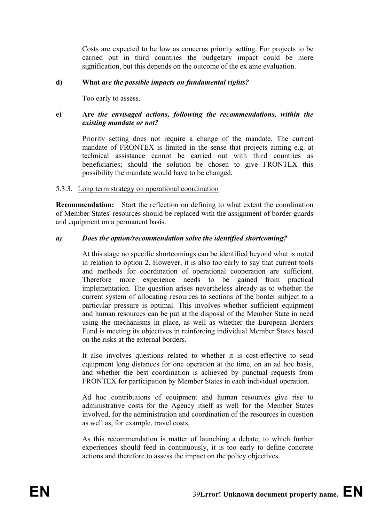Costs are expected to be low as concerns priority setting. For projects to be carried out in third countries the budgetary impact could be more signification, but this depends on the outcome of the ex ante evaluation.

### **d) What** *are the possible impacts on fundamental rights?*

Too early to assess.

### **e) Are** *the envisaged actions, following the recommendations, within the existing mandate or not?*

Priority setting does not require a change of the mandate. The current mandate of FRONTEX is limited in the sense that projects aiming e.g. at technical assistance cannot be carried out with third countries as beneficiaries; should the solution be chosen to give FRONTEX this possibility the mandate would have to be changed.

### 5.3.3. Long term strategy on operational coordination

**Recommendation:** Start the reflection on defining to what extent the coordination of Member States' resources should be replaced with the assignment of border guards and equipment on a permanent basis.

### *a) Does the option/recommendation solve the identified shortcoming?*

At this stage no specific shortcomings can be identified beyond what is noted in relation to option 2. However, it is also too early to say that current tools and methods for coordination of operational cooperation are sufficient. Therefore more experience needs to be gained from practical implementation. The question arises nevertheless already as to whether the current system of allocating resources to sections of the border subject to a particular pressure is optimal. This involves whether sufficient equipment and human resources can be put at the disposal of the Member State in need using the mechanisms in place, as well as whether the European Borders Fund is meeting its objectives in reinforcing individual Member States based on the risks at the external borders.

It also involves questions related to whether it is cost-effective to send equipment long distances for one operation at the time, on an ad hoc basis, and whether the best coordination is achieved by punctual requests from FRONTEX for participation by Member States in each individual operation.

Ad hoc contributions of equipment and human resources give rise to administrative costs for the Agency itself as well for the Member States involved, for the administration and coordination of the resources in question as well as, for example, travel costs.

As this recommendation is matter of launching a debate, to which further experiences should feed in continuously, it is too early to define concrete actions and therefore to assess the impact on the policy objectives.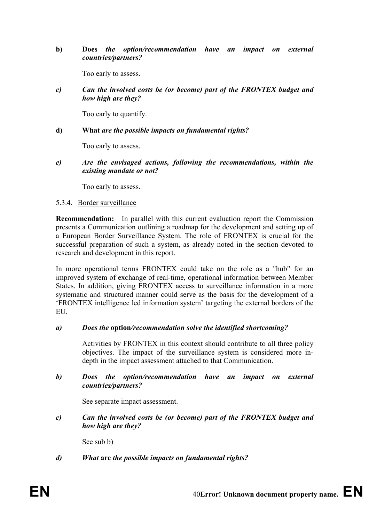**b) Does** *the option/recommendation have an impact on external countries/partners?* 

Too early to assess.

*c) Can the involved costs be (or become) part of the FRONTEX budget and how high are they?* 

Too early to quantify.

### **d) What** *are the possible impacts on fundamental rights?*

Too early to assess.

*e) Are the envisaged actions, following the recommendations, within the existing mandate or not?* 

Too early to assess.

### 5.3.4. Border surveillance

**Recommendation:** In parallel with this current evaluation report the Commission presents a Communication outlining a roadmap for the development and setting up of a European Border Surveillance System. The role of FRONTEX is crucial for the successful preparation of such a system, as already noted in the section devoted to research and development in this report.

In more operational terms FRONTEX could take on the role as a "hub" for an improved system of exchange of real-time, operational information between Member States. In addition, giving FRONTEX access to surveillance information in a more systematic and structured manner could serve as the basis for the development of a 'FRONTEX intelligence led information system' targeting the external borders of the EU.

### *a) Does the* **option***/recommendation solve the identified shortcoming?*

Activities by FRONTEX in this context should contribute to all three policy objectives. The impact of the surveillance system is considered more indepth in the impact assessment attached to that Communication.

### *b) Does the option/recommendation have an impact on external countries/partners?*

See separate impact assessment.

*c) Can the involved costs be (or become) part of the FRONTEX budget and how high are they?* 

See sub b)

### *d) What* **are** *the possible impacts on fundamental rights?*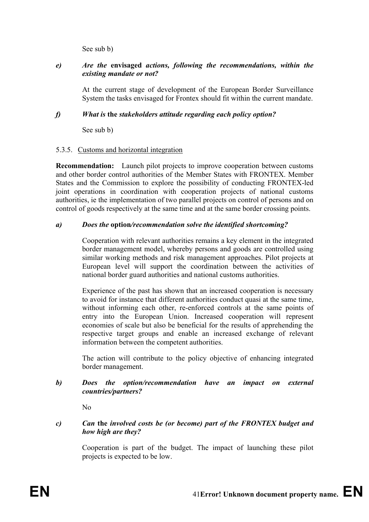See sub b)

### *e) Are the* **envisaged** *actions, following the recommendations, within the existing mandate or not?*

At the current stage of development of the European Border Surveillance System the tasks envisaged for Frontex should fit within the current mandate.

### *f) What is* **the** *stakeholders attitude regarding each policy option?*

See sub b)

### 5.3.5. Customs and horizontal integration

**Recommendation:** Launch pilot projects to improve cooperation between customs and other border control authorities of the Member States with FRONTEX. Member States and the Commission to explore the possibility of conducting FRONTEX-led joint operations in coordination with cooperation projects of national customs authorities, ie the implementation of two parallel projects on control of persons and on control of goods respectively at the same time and at the same border crossing points.

### *a) Does the* **option***/recommendation solve the identified shortcoming?*

Cooperation with relevant authorities remains a key element in the integrated border management model, whereby persons and goods are controlled using similar working methods and risk management approaches. Pilot projects at European level will support the coordination between the activities of national border guard authorities and national customs authorities.

Experience of the past has shown that an increased cooperation is necessary to avoid for instance that different authorities conduct quasi at the same time, without informing each other, re-enforced controls at the same points of entry into the European Union. Increased cooperation will represent economies of scale but also be beneficial for the results of apprehending the respective target groups and enable an increased exchange of relevant information between the competent authorities.

The action will contribute to the policy objective of enhancing integrated border management.

### *b) Does the option/recommendation have an impact on external countries/partners?*

No

### *c) Can* **the** *involved costs be (or become) part of the FRONTEX budget and how high are they?*

Cooperation is part of the budget. The impact of launching these pilot projects is expected to be low.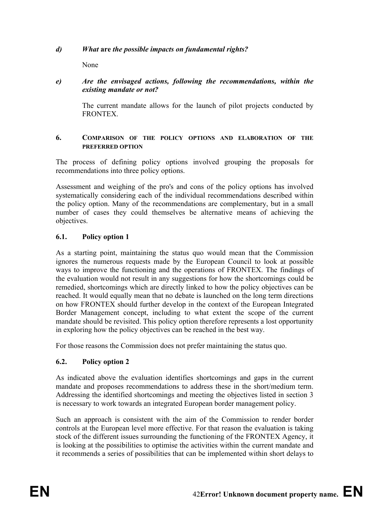### *d) What* **are** *the possible impacts on fundamental rights?*

None

### *e) Are the envisaged actions, following the recommendations, within the existing mandate or not?*

The current mandate allows for the launch of pilot projects conducted by **FRONTEX** 

### **6. COMPARISON OF THE POLICY OPTIONS AND ELABORATION OF THE PREFERRED OPTION**

The process of defining policy options involved grouping the proposals for recommendations into three policy options.

Assessment and weighing of the pro's and cons of the policy options has involved systematically considering each of the individual recommendations described within the policy option. Many of the recommendations are complementary, but in a small number of cases they could themselves be alternative means of achieving the objectives.

### **6.1. Policy option 1**

As a starting point, maintaining the status quo would mean that the Commission ignores the numerous requests made by the European Council to look at possible ways to improve the functioning and the operations of FRONTEX. The findings of the evaluation would not result in any suggestions for how the shortcomings could be remedied, shortcomings which are directly linked to how the policy objectives can be reached. It would equally mean that no debate is launched on the long term directions on how FRONTEX should further develop in the context of the European Integrated Border Management concept, including to what extent the scope of the current mandate should be revisited. This policy option therefore represents a lost opportunity in exploring how the policy objectives can be reached in the best way.

For those reasons the Commission does not prefer maintaining the status quo.

### **6.2. Policy option 2**

As indicated above the evaluation identifies shortcomings and gaps in the current mandate and proposes recommendations to address these in the short/medium term. Addressing the identified shortcomings and meeting the objectives listed in section 3 is necessary to work towards an integrated European border management policy.

Such an approach is consistent with the aim of the Commission to render border controls at the European level more effective. For that reason the evaluation is taking stock of the different issues surrounding the functioning of the FRONTEX Agency, it is looking at the possibilities to optimise the activities within the current mandate and it recommends a series of possibilities that can be implemented within short delays to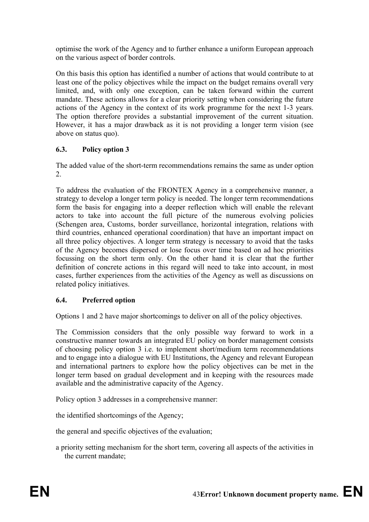optimise the work of the Agency and to further enhance a uniform European approach on the various aspect of border controls.

On this basis this option has identified a number of actions that would contribute to at least one of the policy objectives while the impact on the budget remains overall very limited, and, with only one exception, can be taken forward within the current mandate. These actions allows for a clear priority setting when considering the future actions of the Agency in the context of its work programme for the next 1-3 years. The option therefore provides a substantial improvement of the current situation. However, it has a major drawback as it is not providing a longer term vision (see above on status quo).

# **6.3. Policy option 3**

The added value of the short-term recommendations remains the same as under option 2.

To address the evaluation of the FRONTEX Agency in a comprehensive manner, a strategy to develop a longer term policy is needed. The longer term recommendations form the basis for engaging into a deeper reflection which will enable the relevant actors to take into account the full picture of the numerous evolving policies (Schengen area, Customs, border surveillance, horizontal integration, relations with third countries, enhanced operational coordination) that have an important impact on all three policy objectives. A longer term strategy is necessary to avoid that the tasks of the Agency becomes dispersed or lose focus over time based on ad hoc priorities focussing on the short term only. On the other hand it is clear that the further definition of concrete actions in this regard will need to take into account, in most cases, further experiences from the activities of the Agency as well as discussions on related policy initiatives.

# **6.4. Preferred option**

Options 1 and 2 have major shortcomings to deliver on all of the policy objectives.

The Commission considers that the only possible way forward to work in a constructive manner towards an integrated EU policy on border management consists of choosing policy option 3 i.e. to implement short/medium term recommendations and to engage into a dialogue with EU Institutions, the Agency and relevant European and international partners to explore how the policy objectives can be met in the longer term based on gradual development and in keeping with the resources made available and the administrative capacity of the Agency.

Policy option 3 addresses in a comprehensive manner:

the identified shortcomings of the Agency;

the general and specific objectives of the evaluation;

a priority setting mechanism for the short term, covering all aspects of the activities in the current mandate;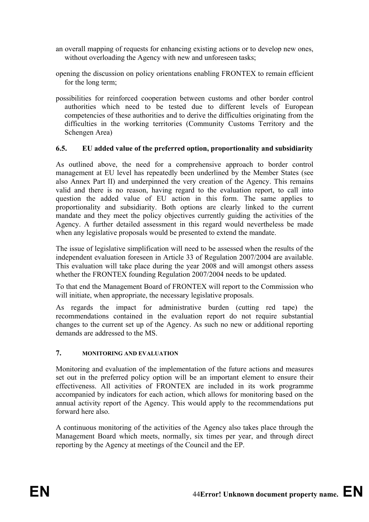- an overall mapping of requests for enhancing existing actions or to develop new ones, without overloading the Agency with new and unforeseen tasks;
- opening the discussion on policy orientations enabling FRONTEX to remain efficient for the long term;
- possibilities for reinforced cooperation between customs and other border control authorities which need to be tested due to different levels of European competencies of these authorities and to derive the difficulties originating from the difficulties in the working territories (Community Customs Territory and the Schengen Area)

### **6.5. EU added value of the preferred option, proportionality and subsidiarity**

As outlined above, the need for a comprehensive approach to border control management at EU level has repeatedly been underlined by the Member States (see also Annex Part II) and underpinned the very creation of the Agency. This remains valid and there is no reason, having regard to the evaluation report, to call into question the added value of EU action in this form. The same applies to proportionality and subsidiarity. Both options are clearly linked to the current mandate and they meet the policy objectives currently guiding the activities of the Agency. A further detailed assessment in this regard would nevertheless be made when any legislative proposals would be presented to extend the mandate.

The issue of legislative simplification will need to be assessed when the results of the independent evaluation foreseen in Article 33 of Regulation 2007/2004 are available. This evaluation will take place during the year 2008 and will amongst others assess whether the FRONTEX founding Regulation 2007/2004 needs to be updated.

To that end the Management Board of FRONTEX will report to the Commission who will initiate, when appropriate, the necessary legislative proposals.

As regards the impact for administrative burden (cutting red tape) the recommendations contained in the evaluation report do not require substantial changes to the current set up of the Agency. As such no new or additional reporting demands are addressed to the MS.

### **7. MONITORING AND EVALUATION**

Monitoring and evaluation of the implementation of the future actions and measures set out in the preferred policy option will be an important element to ensure their effectiveness. All activities of FRONTEX are included in its work programme accompanied by indicators for each action, which allows for monitoring based on the annual activity report of the Agency. This would apply to the recommendations put forward here also.

A continuous monitoring of the activities of the Agency also takes place through the Management Board which meets, normally, six times per year, and through direct reporting by the Agency at meetings of the Council and the EP.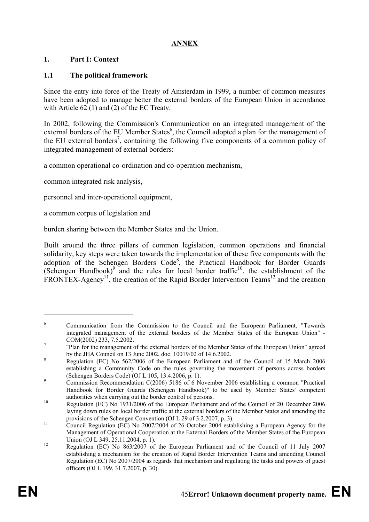# **ANNEX**

### **1. Part I: Context**

### **1.1 The political framework**

Since the entry into force of the Treaty of Amsterdam in 1999, a number of common measures have been adopted to manage better the external borders of the European Union in accordance with Article 62 (1) and (2) of the EC Treaty.

In 2002, following the Commission's Communication on an integrated management of the external borders of the EU Member States<sup>6</sup>, the Council adopted a plan for the management of the EU external borders<sup>7</sup>, containing the following five components of a common policy of integrated management of external borders:

a common operational co-ordination and co-operation mechanism,

common integrated risk analysis,

personnel and inter-operational equipment,

a common corpus of legislation and

burden sharing between the Member States and the Union.

Built around the three pillars of common legislation, common operations and financial solidarity, key steps were taken towards the implementation of these five components with the adoption of the Schengen Borders Code<sup>8</sup>, the Practical Handbook for Border Guards (Schengen Handbook)<sup>9</sup> and the rules for local border traffic<sup>10</sup>, the establishment of the FRONTEX-Agency<sup>11</sup>, the creation of the Rapid Border Intervention Teams<sup>12</sup> and the creation

1

<sup>6</sup> Communication from the Commission to the Council and the European Parliament, "Towards integrated management of the external borders of the Member States of the European Union" - COM(2002) 233, 7.5.2002.

 <sup>&</sup>quot;Plan for the management of the external borders of the Member States of the European Union" agreed by the JHA Council on 13 June 2002, doc. 10019/02 of 14.6.2002.

Regulation (EC) No 562/2006 of the European Parliament and of the Council of 15 March 2006 establishing a Community Code on the rules governing the movement of persons across borders (Schengen Borders Code) (OJ L 105, 13.4.2006, p. 1).

Commission Recommendation C(2006) 5186 of 6 November 2006 establishing a common "Practical Handbook for Border Guards (Schengen Handbook)" to be used by Member States' competent authorities when carrying out the border control of persons.<br>Regulation (EC) No 1931/2006 of the European Parliament and of the Council of 20 December 2006

laying down rules on local border traffic at the external borders of the Member States and amending the

provisions of the Schengen Convention (OJ L 29 of 3.2.2007, p. 3).<br>
Council Regulation (EC) No 2007/2004 of 26 October 2004 establishing a European Agency for the Management of Operational Cooperation at the External Borders of the Member States of the European

Union (OJ L 349, 25.11.2004, p. 1).<br>
12 Regulation (EC) No 863/2007 of the European Parliament and of the Council of 11 July 2007 establishing a mechanism for the creation of Rapid Border Intervention Teams and amending Council Regulation (EC) No 2007/2004 as regards that mechanism and regulating the tasks and powers of guest officers (OJ L 199, 31.7.2007, p. 30).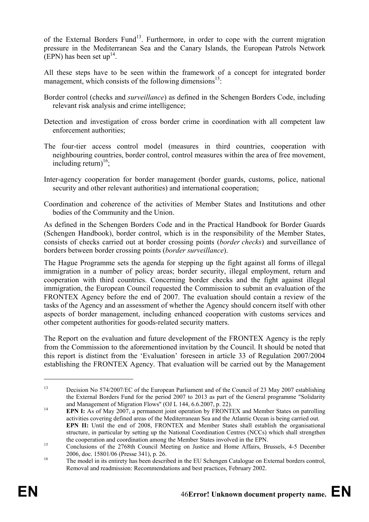of the External Borders Fund<sup>13</sup>. Furthermore, in order to cope with the current migration pressure in the Mediterranean Sea and the Canary Islands, the European Patrols Network (EPN) has been set up<sup>14</sup>.

All these steps have to be seen within the framework of a concept for integrated border management, which consists of the following dimensions<sup>15</sup>:

- Border control (checks and *surveillance*) as defined in the Schengen Borders Code, including relevant risk analysis and crime intelligence;
- Detection and investigation of cross border crime in coordination with all competent law enforcement authorities;
- The four-tier access control model (measures in third countries, cooperation with neighbouring countries, border control, control measures within the area of free movement, including return)<sup>16</sup>;
- Inter-agency cooperation for border management (border guards, customs, police, national security and other relevant authorities) and international cooperation;
- Coordination and coherence of the activities of Member States and Institutions and other bodies of the Community and the Union.

As defined in the Schengen Borders Code and in the Practical Handbook for Border Guards (Schengen Handbook), border control, which is in the responsibility of the Member States, consists of checks carried out at border crossing points (*border checks*) and surveillance of borders between border crossing points (*border surveillance*).

The Hague Programme sets the agenda for stepping up the fight against all forms of illegal immigration in a number of policy areas; border security, illegal employment, return and cooperation with third countries. Concerning border checks and the fight against illegal immigration, the European Council requested the Commission to submit an evaluation of the FRONTEX Agency before the end of 2007. The evaluation should contain a review of the tasks of the Agency and an assessment of whether the Agency should concern itself with other aspects of border management, including enhanced cooperation with customs services and other competent authorities for goods-related security matters.

The Report on the evaluation and future development of the FRONTEX Agency is the reply from the Commission to the aforementioned invitation by the Council. It should be noted that this report is distinct from the 'Evaluation' foreseen in article 33 of Regulation 2007/2004 establishing the FRONTEX Agency. That evaluation will be carried out by the Management

1

<sup>&</sup>lt;sup>13</sup> Decision No 574/2007/EC of the European Parliament and of the Council of 23 May 2007 establishing the External Borders Fund for the period 2007 to 2013 as part of the General programme "Solidarity and Management of Migration Flows" (OJ L 144, 6.6.2007, p. 22).

<sup>&</sup>lt;sup>14</sup> **EPN I:** As of May 2007, a permanent joint operation by FRONTEX and Member States on patrolling activities covering defined areas of the Mediterranean Sea and the Atlantic Ocean is being carried out.  **EPN II:** Until the end of 2008, FRONTEX and Member States shall establish the organisational structure, in particular by setting up the National Coordination Centres (NCCs) which shall strengthen

the cooperation and coordination among the Member States involved in the EPN.<br>
Conclusions of the 2768th Council Meeting on Justice and Home Affairs, Brussels, 4-5 December 2006, doc. 15801/06 (Presse 341), p. 26.<br>
The model in its entirety has been described in the EU Schengen Catalogue on External borders control,

Removal and readmission: Recommendations and best practices, February 2002.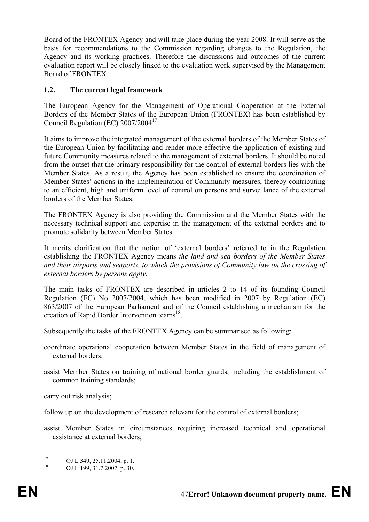Board of the FRONTEX Agency and will take place during the year 2008. It will serve as the basis for recommendations to the Commission regarding changes to the Regulation, the Agency and its working practices. Therefore the discussions and outcomes of the current evaluation report will be closely linked to the evaluation work supervised by the Management Board of FRONTEX.

### **1.2. The current legal framework**

The European Agency for the Management of Operational Cooperation at the External Borders of the Member States of the European Union (FRONTEX) has been established by Council Regulation (EC)  $2007/2004^{17}$ .

It aims to improve the integrated management of the external borders of the Member States of the European Union by facilitating and render more effective the application of existing and future Community measures related to the management of external borders. It should be noted from the outset that the primary responsibility for the control of external borders lies with the Member States. As a result, the Agency has been established to ensure the coordination of Member States' actions in the implementation of Community measures, thereby contributing to an efficient, high and uniform level of control on persons and surveillance of the external borders of the Member States.

The FRONTEX Agency is also providing the Commission and the Member States with the necessary technical support and expertise in the management of the external borders and to promote solidarity between Member States.

It merits clarification that the notion of 'external borders' referred to in the Regulation establishing the FRONTEX Agency means *the land and sea borders of the Member States and their airports and seaports, to which the provisions of Community law on the crossing of external borders by persons apply*.

The main tasks of FRONTEX are described in articles 2 to 14 of its founding Council Regulation (EC) No 2007/2004, which has been modified in 2007 by Regulation (EC) 863/2007 of the European Parliament and of the Council establishing a mechanism for the creation of Rapid Border Intervention teams<sup>18</sup>.

Subsequently the tasks of the FRONTEX Agency can be summarised as following:

- coordinate operational cooperation between Member States in the field of management of external borders:
- assist Member States on training of national border guards, including the establishment of common training standards;

carry out risk analysis;

follow up on the development of research relevant for the control of external borders;

assist Member States in circumstances requiring increased technical and operational assistance at external borders;

<u>.</u>

<sup>&</sup>lt;sup>17</sup> OJ L 349, 25.11.2004, p. 1.<br><sup>18</sup> OJ L 100, 21.7.2007, p. 20

OJ L 199, 31.7.2007, p. 30.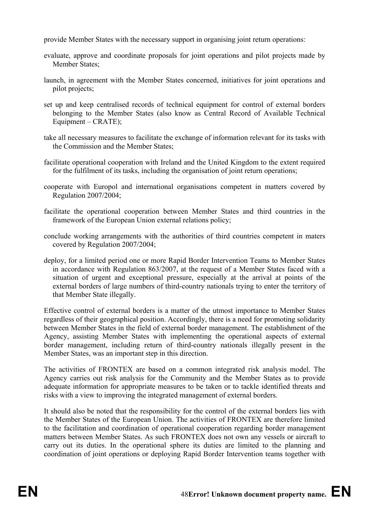provide Member States with the necessary support in organising joint return operations:

- evaluate, approve and coordinate proposals for joint operations and pilot projects made by Member States;
- launch, in agreement with the Member States concerned, initiatives for joint operations and pilot projects;
- set up and keep centralised records of technical equipment for control of external borders belonging to the Member States (also know as Central Record of Available Technical Equipment – CRATE);
- take all necessary measures to facilitate the exchange of information relevant for its tasks with the Commission and the Member States;
- facilitate operational cooperation with Ireland and the United Kingdom to the extent required for the fulfilment of its tasks, including the organisation of joint return operations;
- cooperate with Europol and international organisations competent in matters covered by Regulation 2007/2004;
- facilitate the operational cooperation between Member States and third countries in the framework of the European Union external relations policy;
- conclude working arrangements with the authorities of third countries competent in maters covered by Regulation 2007/2004;
- deploy, for a limited period one or more Rapid Border Intervention Teams to Member States in accordance with Regulation 863/2007, at the request of a Member States faced with a situation of urgent and exceptional pressure, especially at the arrival at points of the external borders of large numbers of third-country nationals trying to enter the territory of that Member State illegally.

Effective control of external borders is a matter of the utmost importance to Member States regardless of their geographical position. Accordingly, there is a need for promoting solidarity between Member States in the field of external border management. The establishment of the Agency, assisting Member States with implementing the operational aspects of external border management, including return of third-country nationals illegally present in the Member States, was an important step in this direction.

The activities of FRONTEX are based on a common integrated risk analysis model. The Agency carries out risk analysis for the Community and the Member States as to provide adequate information for appropriate measures to be taken or to tackle identified threats and risks with a view to improving the integrated management of external borders.

It should also be noted that the responsibility for the control of the external borders lies with the Member States of the European Union. The activities of FRONTEX are therefore limited to the facilitation and coordination of operational cooperation regarding border management matters between Member States. As such FRONTEX does not own any vessels or aircraft to carry out its duties. In the operational sphere its duties are limited to the planning and coordination of joint operations or deploying Rapid Border Intervention teams together with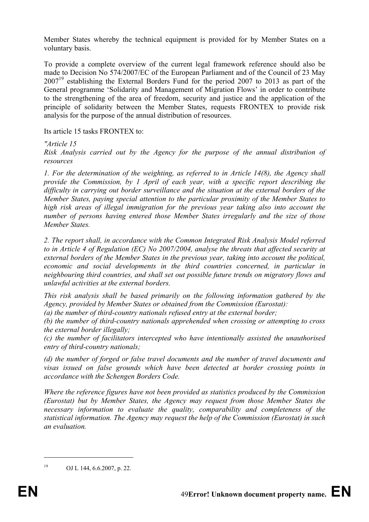Member States whereby the technical equipment is provided for by Member States on a voluntary basis.

To provide a complete overview of the current legal framework reference should also be made to Decision No 574/2007/EC of the European Parliament and of the Council of 23 May  $2007<sup>19</sup>$  establishing the External Borders Fund for the period 2007 to 2013 as part of the General programme 'Solidarity and Management of Migration Flows' in order to contribute to the strengthening of the area of freedom, security and justice and the application of the principle of solidarity between the Member States, requests FRONTEX to provide risk analysis for the purpose of the annual distribution of resources.

Its article 15 tasks FRONTEX to:

*"Article 15* 

*Risk Analysis carried out by the Agency for the purpose of the annual distribution of resources* 

*1. For the determination of the weighting, as referred to in Article 14(8), the Agency shall provide the Commission, by 1 April of each year, with a specific report describing the difficulty in carrying out border surveillance and the situation at the external borders of the Member States, paying special attention to the particular proximity of the Member States to high risk areas of illegal immigration for the previous year taking also into account the number of persons having entered those Member States irregularly and the size of those Member States.* 

*2. The report shall, in accordance with the Common Integrated Risk Analysis Model referred to in Article 4 of Regulation (EC) No 2007/2004, analyse the threats that affected security at external borders of the Member States in the previous year, taking into account the political, economic and social developments in the third countries concerned, in particular in neighbouring third countries, and shall set out possible future trends on migratory flows and unlawful activities at the external borders.* 

*This risk analysis shall be based primarily on the following information gathered by the Agency, provided by Member States or obtained from the Commission (Eurostat):* 

*(a) the number of third-country nationals refused entry at the external border;* 

*(b) the number of third-country nationals apprehended when crossing or attempting to cross the external border illegally;* 

*(c) the number of facilitators intercepted who have intentionally assisted the unauthorised entry of third-country nationals;* 

*(d) the number of forged or false travel documents and the number of travel documents and visas issued on false grounds which have been detected at border crossing points in accordance with the Schengen Borders Code.* 

*Where the reference figures have not been provided as statistics produced by the Commission (Eurostat) but by Member States, the Agency may request from those Member States the necessary information to evaluate the quality, comparability and completeness of the statistical information. The Agency may request the help of the Commission (Eurostat) in such an evaluation.* 

1

<sup>19</sup> OJ L 144, 6.6.2007, p. 22.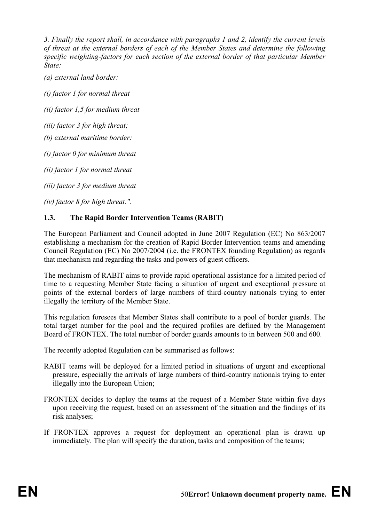*3. Finally the report shall, in accordance with paragraphs 1 and 2, identify the current levels of threat at the external borders of each of the Member States and determine the following specific weighting-factors for each section of the external border of that particular Member State:* 

*(a) external land border:* 

*(i) factor 1 for normal threat* 

*(ii) factor 1,5 for medium threat* 

*(iii) factor 3 for high threat;* 

*(b) external maritime border:* 

*(i) factor 0 for minimum threat* 

*(ii) factor 1 for normal threat* 

*(iii) factor 3 for medium threat* 

*(iv) factor 8 for high threat.".* 

# **1.3. The Rapid Border Intervention Teams (RABIT)**

The European Parliament and Council adopted in June 2007 Regulation (EC) No 863/2007 establishing a mechanism for the creation of Rapid Border Intervention teams and amending Council Regulation (EC) No 2007/2004 (i.e. the FRONTEX founding Regulation) as regards that mechanism and regarding the tasks and powers of guest officers.

The mechanism of RABIT aims to provide rapid operational assistance for a limited period of time to a requesting Member State facing a situation of urgent and exceptional pressure at points of the external borders of large numbers of third-country nationals trying to enter illegally the territory of the Member State.

This regulation foresees that Member States shall contribute to a pool of border guards. The total target number for the pool and the required profiles are defined by the Management Board of FRONTEX. The total number of border guards amounts to in between 500 and 600.

The recently adopted Regulation can be summarised as follows:

- RABIT teams will be deployed for a limited period in situations of urgent and exceptional pressure, especially the arrivals of large numbers of third-country nationals trying to enter illegally into the European Union;
- FRONTEX decides to deploy the teams at the request of a Member State within five days upon receiving the request, based on an assessment of the situation and the findings of its risk analyses;
- If FRONTEX approves a request for deployment an operational plan is drawn up immediately. The plan will specify the duration, tasks and composition of the teams;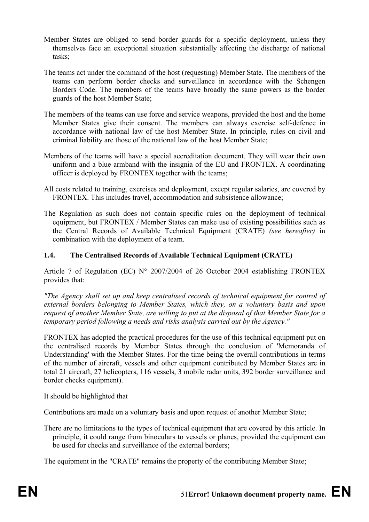- Member States are obliged to send border guards for a specific deployment, unless they themselves face an exceptional situation substantially affecting the discharge of national tasks;
- The teams act under the command of the host (requesting) Member State. The members of the teams can perform border checks and surveillance in accordance with the Schengen Borders Code. The members of the teams have broadly the same powers as the border guards of the host Member State;
- The members of the teams can use force and service weapons, provided the host and the home Member States give their consent. The members can always exercise self-defence in accordance with national law of the host Member State. In principle, rules on civil and criminal liability are those of the national law of the host Member State;
- Members of the teams will have a special accreditation document. They will wear their own uniform and a blue armband with the insignia of the EU and FRONTEX. A coordinating officer is deployed by FRONTEX together with the teams;
- All costs related to training, exercises and deployment, except regular salaries, are covered by FRONTEX. This includes travel, accommodation and subsistence allowance;
- The Regulation as such does not contain specific rules on the deployment of technical equipment, but FRONTEX / Member States can make use of existing possibilities such as the Central Records of Available Technical Equipment (CRATE) *(see hereafter)* in combination with the deployment of a team.

### **1.4. The Centralised Records of Available Technical Equipment (CRATE)**

Article 7 of Regulation (EC) N° 2007/2004 of 26 October 2004 establishing FRONTEX provides that:

*"The Agency shall set up and keep centralised records of technical equipment for control of external borders belonging to Member States, which they, on a voluntary basis and upon request of another Member State, are willing to put at the disposal of that Member State for a temporary period following a needs and risks analysis carried out by the Agency."* 

FRONTEX has adopted the practical procedures for the use of this technical equipment put on the centralised records by Member States through the conclusion of 'Memoranda of Understanding' with the Member States. For the time being the overall contributions in terms of the number of aircraft, vessels and other equipment contributed by Member States are in total 21 aircraft, 27 helicopters, 116 vessels, 3 mobile radar units, 392 border surveillance and border checks equipment).

It should be highlighted that

Contributions are made on a voluntary basis and upon request of another Member State;

There are no limitations to the types of technical equipment that are covered by this article. In principle, it could range from binoculars to vessels or planes, provided the equipment can be used for checks and surveillance of the external borders;

The equipment in the "CRATE" remains the property of the contributing Member State;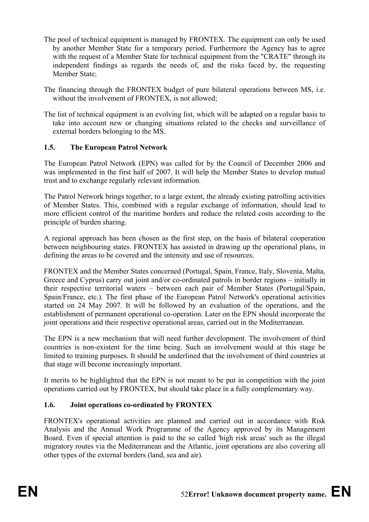- The pool of technical equipment is managed by FRONTEX. The equipment can only be used by another Member State for a temporary period. Furthermore the Agency has to agree with the request of a Member State for technical equipment from the "CRATE" through its independent findings as regards the needs of, and the risks faced by, the requesting Member State;
- The financing through the FRONTEX budget of pure bilateral operations between MS, i.e. without the involvement of FRONTEX, is not allowed;
- The list of technical equipment is an evolving list, which will be adapted on a regular basis to take into account new or changing situations related to the checks and surveillance of external borders belonging to the MS.

# **1.5. The European Patrol Network**

The European Patrol Network (EPN) was called for by the Council of December 2006 and was implemented in the first half of 2007. It will help the Member States to develop mutual trust and to exchange regularly relevant information.

The Patrol Network brings together, to a large extent, the already existing patrolling activities of Member States. This, combined with a regular exchange of information, should lead to more efficient control of the maritime borders and reduce the related costs according to the principle of burden sharing.

A regional approach has been chosen as the first step, on the basis of bilateral cooperation between neighbouring states. FRONTEX has assisted in drawing up the operational plans, in defining the areas to be covered and the intensity and use of resources.

FRONTEX and the Member States concerned (Portugal, Spain, France, Italy, Slovenia, Malta, Greece and Cyprus) carry out joint and/or co-ordinated patrols in border regions – initially in their respective territorial waters – between each pair of Member States (Portugal/Spain, Spain/France, etc.). The first phase of the European Patrol Network's operational activities started on 24 May 2007. It will be followed by an evaluation of the operations, and the establishment of permanent operational co-operation. Later on the EPN should incorporate the joint operations and their respective operational areas, carried out in the Mediterranean.

The EPN is a new mechanism that will need further development. The involvement of third countries is non-existent for the time being. Such an involvement would at this stage be limited to training purposes. It should be underlined that the involvement of third countries at that stage will become increasingly important.

It merits to be highlighted that the EPN is not meant to be put in competition with the joint operations carried out by FRONTEX, but should take place in a fully complementary way.

### **1.6. Joint operations co-ordinated by FRONTEX**

FRONTEX's operational activities are planned and carried out in accordance with Risk Analysis and the Annual Work Programme of the Agency approved by its Management Board. Even if special attention is paid to the so called 'high risk areas' such as the illegal migratory routes via the Mediterranean and the Atlantic, joint operations are also covering all other types of the external borders (land, sea and air).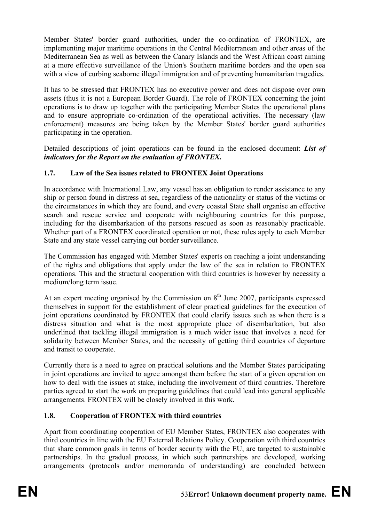Member States' border guard authorities, under the co-ordination of FRONTEX, are implementing major maritime operations in the Central Mediterranean and other areas of the Mediterranean Sea as well as between the Canary Islands and the West African coast aiming at a more effective surveillance of the Union's Southern maritime borders and the open sea with a view of curbing seaborne illegal immigration and of preventing humanitarian tragedies.

It has to be stressed that FRONTEX has no executive power and does not dispose over own assets (thus it is not a European Border Guard). The role of FRONTEX concerning the joint operations is to draw up together with the participating Member States the operational plans and to ensure appropriate co-ordination of the operational activities. The necessary (law enforcement) measures are being taken by the Member States' border guard authorities participating in the operation.

Detailed descriptions of joint operations can be found in the enclosed document: *List of indicators for the Report on the evaluation of FRONTEX.* 

# **1.7. Law of the Sea issues related to FRONTEX Joint Operations**

In accordance with International Law, any vessel has an obligation to render assistance to any ship or person found in distress at sea, regardless of the nationality or status of the victims or the circumstances in which they are found, and every coastal State shall organise an effective search and rescue service and cooperate with neighbouring countries for this purpose, including for the disembarkation of the persons rescued as soon as reasonably practicable. Whether part of a FRONTEX coordinated operation or not, these rules apply to each Member State and any state vessel carrying out border surveillance.

The Commission has engaged with Member States' experts on reaching a joint understanding of the rights and obligations that apply under the law of the sea in relation to FRONTEX operations. This and the structural cooperation with third countries is however by necessity a medium/long term issue.

At an expert meeting organised by the Commission on  $8<sup>th</sup>$  June 2007, participants expressed themselves in support for the establishment of clear practical guidelines for the execution of joint operations coordinated by FRONTEX that could clarify issues such as when there is a distress situation and what is the most appropriate place of disembarkation, but also underlined that tackling illegal immigration is a much wider issue that involves a need for solidarity between Member States, and the necessity of getting third countries of departure and transit to cooperate.

Currently there is a need to agree on practical solutions and the Member States participating in joint operations are invited to agree amongst them before the start of a given operation on how to deal with the issues at stake, including the involvement of third countries. Therefore parties agreed to start the work on preparing guidelines that could lead into general applicable arrangements. FRONTEX will be closely involved in this work.

# **1.8. Cooperation of FRONTEX with third countries**

Apart from coordinating cooperation of EU Member States, FRONTEX also cooperates with third countries in line with the EU External Relations Policy. Cooperation with third countries that share common goals in terms of border security with the EU, are targeted to sustainable partnerships. In the gradual process, in which such partnerships are developed, working arrangements (protocols and/or memoranda of understanding) are concluded between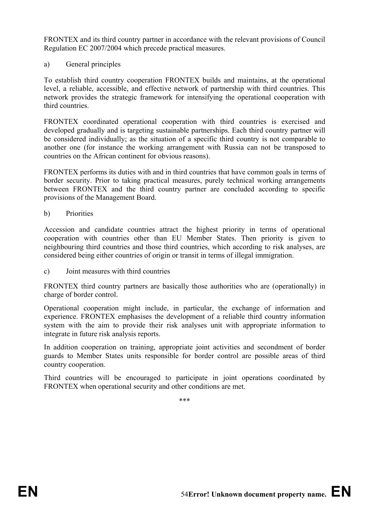FRONTEX and its third country partner in accordance with the relevant provisions of Council Regulation EC 2007/2004 which precede practical measures.

a) General principles

To establish third country cooperation FRONTEX builds and maintains, at the operational level, a reliable, accessible, and effective network of partnership with third countries. This network provides the strategic framework for intensifying the operational cooperation with third countries.

FRONTEX coordinated operational cooperation with third countries is exercised and developed gradually and is targeting sustainable partnerships. Each third country partner will be considered individually; as the situation of a specific third country is not comparable to another one (for instance the working arrangement with Russia can not be transposed to countries on the African continent for obvious reasons).

FRONTEX performs its duties with and in third countries that have common goals in terms of border security. Prior to taking practical measures, purely technical working arrangements between FRONTEX and the third country partner are concluded according to specific provisions of the Management Board.

b) Priorities

Accession and candidate countries attract the highest priority in terms of operational cooperation with countries other than EU Member States. Then priority is given to neighbouring third countries and those third countries, which according to risk analyses, are considered being either countries of origin or transit in terms of illegal immigration.

c) Joint measures with third countries

FRONTEX third country partners are basically those authorities who are (operationally) in charge of border control.

Operational cooperation might include, in particular, the exchange of information and experience. FRONTEX emphasises the development of a reliable third country information system with the aim to provide their risk analyses unit with appropriate information to integrate in future risk analysis reports.

In addition cooperation on training, appropriate joint activities and secondment of border guards to Member States units responsible for border control are possible areas of third country cooperation.

Third countries will be encouraged to participate in joint operations coordinated by FRONTEX when operational security and other conditions are met.

\*\*\*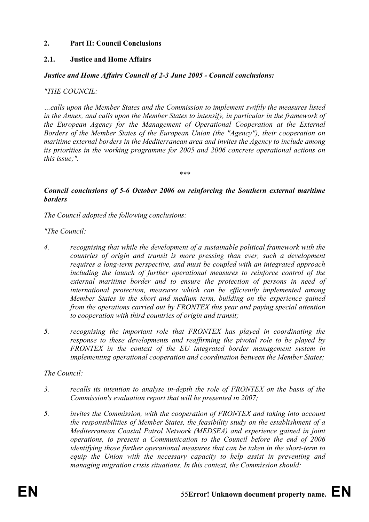### **2. Part II: Council Conclusions**

### **2.1. Justice and Home Affairs**

#### *Justice and Home Affairs Council of 2-3 June 2005 - Council conclusions:*

*"THE COUNCIL:* 

*…calls upon the Member States and the Commission to implement swiftly the measures listed in the Annex, and calls upon the Member States to intensify, in particular in the framework of the European Agency for the Management of Operational Cooperation at the External Borders of the Member States of the European Union (the "Agency"), their cooperation on maritime external borders in the Mediterranean area and invites the Agency to include among its priorities in the working programme for 2005 and 2006 concrete operational actions on this issue;".* 

*\*\*\** 

### *Council conclusions of 5-6 October 2006 on reinforcing the Southern external maritime borders*

*The Council adopted the following conclusions:* 

*"The Council:* 

- *4. recognising that while the development of a sustainable political framework with the countries of origin and transit is more pressing than ever, such a development requires a long-term perspective, and must be coupled with an integrated approach including the launch of further operational measures to reinforce control of the*  external maritime border and to ensure the protection of persons in need of *international protection, measures which can be efficiently implemented among Member States in the short and medium term, building on the experience gained from the operations carried out by FRONTEX this year and paying special attention to cooperation with third countries of origin and transit;*
- *5. recognising the important role that FRONTEX has played in coordinating the response to these developments and reaffirming the pivotal role to be played by FRONTEX in the context of the EU integrated border management system in implementing operational cooperation and coordination between the Member States;*

### *The Council:*

- *3. recalls its intention to analyse in-depth the role of FRONTEX on the basis of the Commission's evaluation report that will be presented in 2007;*
- *5. invites the Commission, with the cooperation of FRONTEX and taking into account the responsibilities of Member States, the feasibility study on the establishment of a Mediterranean Coastal Patrol Network (MEDSEA) and experience gained in joint operations, to present a Communication to the Council before the end of 2006 identifying those further operational measures that can be taken in the short-term to equip the Union with the necessary capacity to help assist in preventing and managing migration crisis situations. In this context, the Commission should:*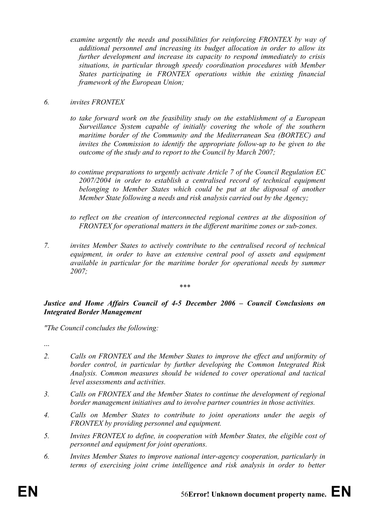*examine urgently the needs and possibilities for reinforcing FRONTEX by way of additional personnel and increasing its budget allocation in order to allow its further development and increase its capacity to respond immediately to crisis situations, in particular through speedy coordination procedures with Member States participating in FRONTEX operations within the existing financial framework of the European Union;* 

### *6. invites FRONTEX*

- *to take forward work on the feasibility study on the establishment of a European Surveillance System capable of initially covering the whole of the southern maritime border of the Community and the Mediterranean Sea (BORTEC) and invites the Commission to identify the appropriate follow-up to be given to the outcome of the study and to report to the Council by March 2007;*
- *to continue preparations to urgently activate Article 7 of the Council Regulation EC 2007/2004 in order to establish a centralised record of technical equipment belonging to Member States which could be put at the disposal of another Member State following a needs and risk analysis carried out by the Agency;*
- to reflect on the creation of interconnected regional centres at the disposition of *FRONTEX for operational matters in the different maritime zones or sub-zones.*
- *7. invites Member States to actively contribute to the centralised record of technical equipment, in order to have an extensive central pool of assets and equipment available in particular for the maritime border for operational needs by summer 2007;*

#### *\*\*\**

### *Justice and Home Affairs Council of 4-5 December 2006 – Council Conclusions on Integrated Border Management*

*"The Council concludes the following:* 

...

- *2. Calls on FRONTEX and the Member States to improve the effect and uniformity of border control, in particular by further developing the Common Integrated Risk Analysis. Common measures should be widened to cover operational and tactical level assessments and activities.*
- *3. Calls on FRONTEX and the Member States to continue the development of regional border management initiatives and to involve partner countries in those activities.*
- *4. Calls on Member States to contribute to joint operations under the aegis of FRONTEX by providing personnel and equipment.*
- *5. Invites FRONTEX to define, in cooperation with Member States, the eligible cost of personnel and equipment for joint operations.*
- *6. Invites Member States to improve national inter-agency cooperation, particularly in terms of exercising joint crime intelligence and risk analysis in order to better*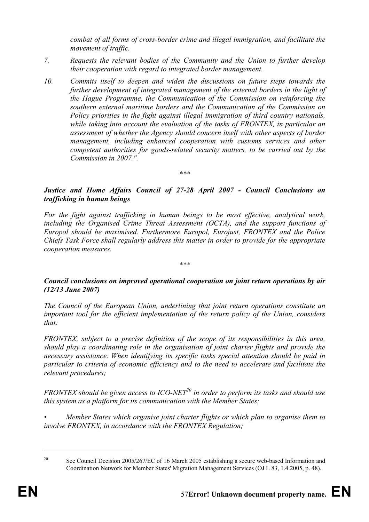*combat of all forms of cross-border crime and illegal immigration, and facilitate the movement of traffic.* 

- *7. Requests the relevant bodies of the Community and the Union to further develop their cooperation with regard to integrated border management.*
- *10. Commits itself to deepen and widen the discussions on future steps towards the further development of integrated management of the external borders in the light of the Hague Programme, the Communication of the Commission on reinforcing the southern external maritime borders and the Communication of the Commission on Policy priorities in the fight against illegal immigration of third country nationals, while taking into account the evaluation of the tasks of FRONTEX, in particular an assessment of whether the Agency should concern itself with other aspects of border management, including enhanced cooperation with customs services and other competent authorities for goods-related security matters, to be carried out by the Commission in 2007.".*

*\*\*\** 

### *Justice and Home Affairs Council of 27-28 April 2007 - Council Conclusions on trafficking in human beings*

*For the fight against trafficking in human beings to be most effective, analytical work, including the Organised Crime Threat Assessment (OCTA), and the support functions of Europol should be maximised. Furthermore Europol, Eurojust, FRONTEX and the Police Chiefs Task Force shall regularly address this matter in order to provide for the appropriate cooperation measures.* 

### *Council conclusions on improved operational cooperation on joint return operations by air (12/13 June 2007)*

*\*\*\** 

*The Council of the European Union, underlining that joint return operations constitute an important tool for the efficient implementation of the return policy of the Union, considers that:* 

*FRONTEX, subject to a precise definition of the scope of its responsibilities in this area, should play a coordinating role in the organisation of joint charter flights and provide the necessary assistance. When identifying its specific tasks special attention should be paid in particular to criteria of economic efficiency and to the need to accelerate and facilitate the relevant procedures;* 

*FRONTEX should be given access to ICO-NET<sup>20</sup> in order to perform its tasks and should use this system as a platform for its communication with the Member States;* 

*• Member States which organise joint charter flights or which plan to organise them to involve FRONTEX, in accordance with the FRONTEX Regulation;* 

<u>.</u>

<sup>&</sup>lt;sup>20</sup> See Council Decision 2005/267/EC of 16 March 2005 establishing a secure web-based Information and Coordination Network for Member States' Migration Management Services (OJ L 83, 1.4.2005, p. 48).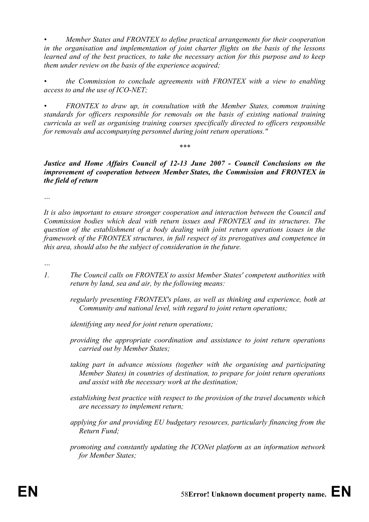*• Member States and FRONTEX to define practical arrangements for their cooperation in the organisation and implementation of joint charter flights on the basis of the lessons learned and of the best practices, to take the necessary action for this purpose and to keep them under review on the basis of the experience acquired;* 

*• the Commission to conclude agreements with FRONTEX with a view to enabling access to and the use of ICO-NET;* 

*• FRONTEX to draw up, in consultation with the Member States, common training standards for officers responsible for removals on the basis of existing national training curricula as well as organising training courses specifically directed to officers responsible for removals and accompanying personnel during joint return operations."* 

*Justice and Home Affairs Council of 12-13 June 2007 - Council Conclusions on the improvement of cooperation between Member States, the Commission and FRONTEX in the field of return* 

*\*\*\** 

*…* 

*It is also important to ensure stronger cooperation and interaction between the Council and Commission bodies which deal with return issues and FRONTEX and its structures. The question of the establishment of a body dealing with joint return operations issues in the framework of the FRONTEX structures, in full respect of its prerogatives and competence in this area, should also be the subject of consideration in the future.* 

*…* 

- *1. The Council calls on FRONTEX to assist Member States' competent authorities with return by land, sea and air, by the following means:* 
	- *regularly presenting FRONTEX's plans, as well as thinking and experience, both at Community and national level, with regard to joint return operations;*

*identifying any need for joint return operations;* 

- *providing the appropriate coordination and assistance to joint return operations carried out by Member States;*
- *taking part in advance missions (together with the organising and participating Member States) in countries of destination, to prepare for joint return operations and assist with the necessary work at the destination;*
- *establishing best practice with respect to the provision of the travel documents which are necessary to implement return;*
- *applying for and providing EU budgetary resources, particularly financing from the Return Fund;*
- *promoting and constantly updating the ICONet platform as an information network for Member States;*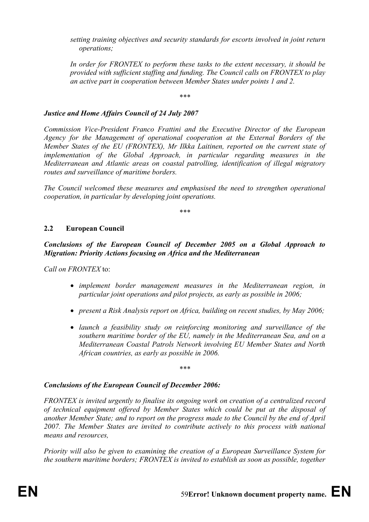*setting training objectives and security standards for escorts involved in joint return operations;* 

*In order for FRONTEX to perform these tasks to the extent necessary, it should be provided with sufficient staffing and funding. The Council calls on FRONTEX to play an active part in cooperation between Member States under points 1 and 2.* 

*\*\*\** 

### *Justice and Home Affairs Council of 24 July 2007*

*Commission Vice-President Franco Frattini and the Executive Director of the European Agency for the Management of operational cooperation at the External Borders of the Member States of the EU (FRONTEX), Mr Ilkka Laitinen, reported on the current state of implementation of the Global Approach, in particular regarding measures in the Mediterranean and Atlantic areas on coastal patrolling, identification of illegal migratory routes and surveillance of maritime borders.* 

*The Council welcomed these measures and emphasised the need to strengthen operational cooperation, in particular by developing joint operations.* 

*\*\*\** 

### **2.2 European Council**

*Conclusions of the European Council of December 2005 on a Global Approach to Migration: Priority Actions focusing on Africa and the Mediterranean* 

*Call on FRONTEX* to:

- *implement border management measures in the Mediterranean region, in particular joint operations and pilot projects, as early as possible in 2006;*
- *present a Risk Analysis report on Africa, building on recent studies, by May 2006;*
- *launch a feasibility study on reinforcing monitoring and surveillance of the southern maritime border of the EU, namely in the Mediterranean Sea, and on a Mediterranean Coastal Patrols Network involving EU Member States and North African countries, as early as possible in 2006.*

*\*\*\** 

### *Conclusions of the European Council of December 2006:*

*FRONTEX is invited urgently to finalise its ongoing work on creation of a centralized record of technical equipment offered by Member States which could be put at the disposal of another Member State; and to report on the progress made to the Council by the end of April 2007. The Member States are invited to contribute actively to this process with national means and resources,* 

*Priority will also be given to examining the creation of a European Surveillance System for the southern maritime borders; FRONTEX is invited to establish as soon as possible, together*